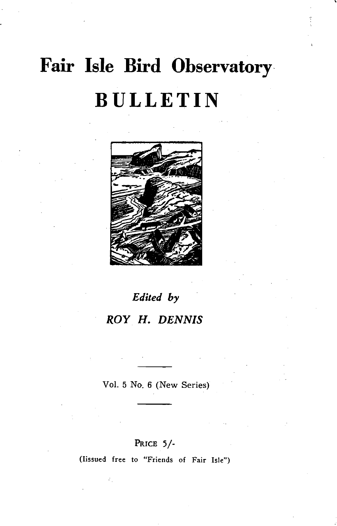# **Fair Isle Bird Observatory, BULLETIN**



# *Edited by ROY* **H.** *DENNIS*

Vol. 5 No. 6 (New Series)

### PRICE 5/-

(Iissued free to "Friends of Fair Isle")

÷,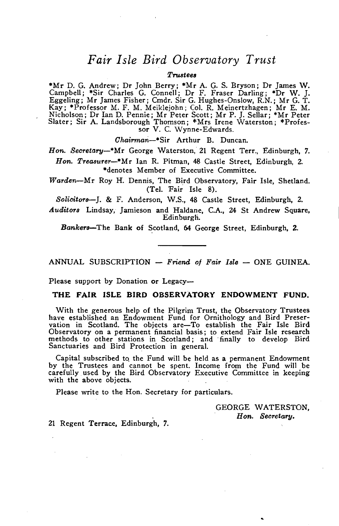### *Fair Isle Bird Observatory Trust*

#### $T$ *rustees*

\*Mr D. G. Andrew; Dr John Berry; \*Mr A. G. S. Bryson; Dr James W. Camp bell; \*Sir Charles G. Connell; Dr F. Fraser Darling; \*Dr W. J. Eggeling; Mr James Fisher; Cmdr. Sir G. Hughes-Onslow, R.N.; Mr G. T. Kay; \*Professor M. F. M. Meiklejohn; Col. R. Meinertzhagen; Mr E. M. Nicholson; Dr Ian D. Pennie; Mr Peter Scott; Mr P. J. Sel\ar; \*Mr Peter Slater; Sir A. Landsborough Thomson; \*Mrs Irene Waterston; \*Profes- sor V. C. Wynne-Edwards.

*Chairmari-\*Sir* Arthur B. Duncan.

*Hon. Secretary-\*Mr* George Waterston, 21 Regent Terr., Edinburgh. 7. *Hon. Treasurer-\*Mr* Ian R. Pitman. 48 Castle Street, Edinburgh, 2.

\*denotes Member of Executive Committee.

*Warden-Mr* Roy H. Dennis. The Bird Observatory. Fair Isle. Shetland. (Tel. Fair Isle 8).

*Solicitors-J.* & F. Anderson, W.S .• 48 Castle Street. Edinburgh. 2.

Auditors Lindsay, Jamieson and Haldane, C.A., 24 St Andrew Square, Edinburgh.

*Bankers-The* Bank of Scotland. 64 George Street. Edinburgh. 2.

ANNUAL SUBSCRIPTION - *Friend of Fair Isle* - ONE GUINEA.

Please support by Donation or Legacy--

#### THE FAIR ISLE BIRD OBSERVATORY ENDOWMENT FUND.

With the generous help of the Pilgrim Trust, the Observatory Trustees have established an Endowment Fund for Ornithology and Bird Preservation in Scotland. The objects are-To establish the Fair Isle Bird Observatory on a permanent financial basis; to extend Fair Isle research methods to other stations in Scotland; and ·final\y to develop Bird Sanctuaries and Bird Protection in general.

Capital subscribed to the Fund will be held as a permanent Endowment by the Trustees and cannot be spent. Income from the Fund will be carefully used by the Bird Observatory Executive Committee in keeping with the above objects.

Please write to the Hon. Secretary for particulars.

GEORGE WATERSTON. *Hon. Secretary.* 

21 Regent Terrace. Edinburgh. 7.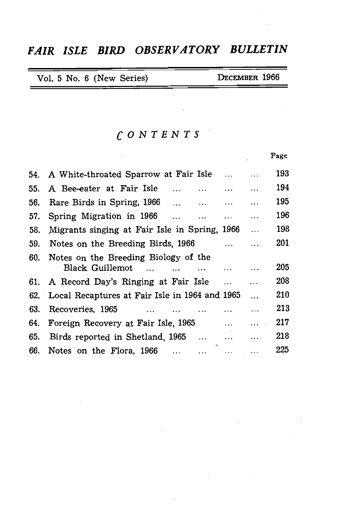### *FAIR ISLE BIRD OBSERVATORY BULLETIN*

 $\sim$ 

 $\sim 100$ 

 $\mathcal{L}^{\text{max}}_{\text{max}}$  and  $\mathcal{L}^{\text{max}}_{\text{max}}$ 

| Vol. 5 No. 6 (New Series) | DECEMBER 1966 |
|---------------------------|---------------|
|---------------------------|---------------|

### *CONTENTS*

 $\sim 10^{11}$ 

|     |                                                                                                                                                                                                                                                                                                        |              | Page |
|-----|--------------------------------------------------------------------------------------------------------------------------------------------------------------------------------------------------------------------------------------------------------------------------------------------------------|--------------|------|
|     | 54. A White-throated Sparrow at Fair Isle                                                                                                                                                                                                                                                              |              | 193  |
|     | 55. A Bee-eater at Fair Isle<br>$\cdots$<br>$\mathbf{1.1.1} \qquad \qquad \mathbf{.1.1.1}$                                                                                                                                                                                                             | $\cdots$     | 194  |
| 56. | Rare Birds in Spring, 1966<br><b>Algebra Contract Contract Contract Contract Contract Contract Contract Contract Contract Contract Contract Contract Contract Contract Contract Contract Contract Contract Contract Contract Contract Contract Contract Contra</b><br>$\sim$ $\sim$ $\sim$<br>$\cdots$ |              | 195  |
| 57. | Spring Migration in 1966<br>$\dddotsc$<br>$\cdots$<br>$\cdots$                                                                                                                                                                                                                                         | $\ddotsc$    | 196  |
| 58. | Migrants singing at Fair Isle in Spring, 1966                                                                                                                                                                                                                                                          | $\ddotsc$    | 198  |
| 59. | Notes on the Breeding Birds, 1966<br>$\mathbf{1}$                                                                                                                                                                                                                                                      |              | 201  |
| 60. | Notes on the Breeding Biology of the<br>Black Guillemot<br>$\cdots$                                                                                                                                                                                                                                    | $\ddotsc$    | 205  |
|     | 61. A Record Day's Ringing at Fair Isle<br>$\cdots$                                                                                                                                                                                                                                                    |              | 208  |
|     | 62. Local Recaptures at Fair Isle in 1964 and 1965                                                                                                                                                                                                                                                     | $\ddotsc$    | 210  |
| 63. | Recoveries, 1965                                                                                                                                                                                                                                                                                       | .            | 213  |
| 64. | Foreign Recovery at Fair Isle, 1965                                                                                                                                                                                                                                                                    | a a a contro | 217  |
| 65. | Birds reported in Shetland, 1965<br>$\cdots$                                                                                                                                                                                                                                                           | $\cdots$     | 218  |
|     | 66. Notes on the Flora, 1966<br>$\ddotsc$                                                                                                                                                                                                                                                              |              | 225  |

 $\sim$ 

 $\sim$  .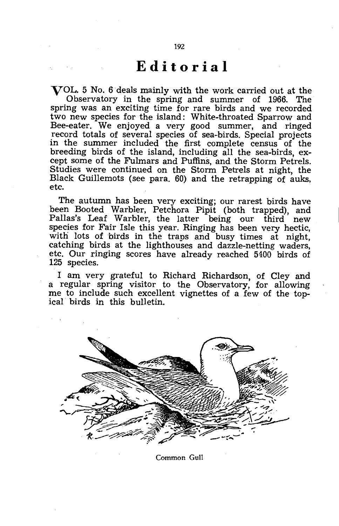## **Editorial**

VOL. 5 No. 6 deals mainly with the work carried out at the Observatory in the spring and summer of 1966. The spring was an exciting time for rare birds and we recorded two new species for the island: White-throated Sparrow and Bee-eater. We enjoyed a very good summer, and ringed record totals of several species of sea-birds. Special projects in the summer included the first complete census of the breeding birds of the island, including all the sea-birds, except some of the Fulmars and Puffins, and the Storm Petrels. Studies were continued on the Storm Petrels at night, the Black Guillemots (see para, 60) and the retrapping of auks, etc.

The autumn has been very exciting; our rarest birds have been Booted Warbler, Petchora Pipit (both trapped), and Pallas's Leaf Warbler, the latter being our third new species for Fair Isle this year. Ringing has been very hectic, with lots of birds in the traps and busy times at night, catching birds at the lighthouses and dazzle-netting waders, etc. Our ringing scores have already reached 5400 birds of 125 species.

I am very grateful to Richard Richardson, of Cley and a regular spring visitor to the Observatory, for allowing me to include such excellent vignettes of a few of the topical birds in this bulletin.



Common Gull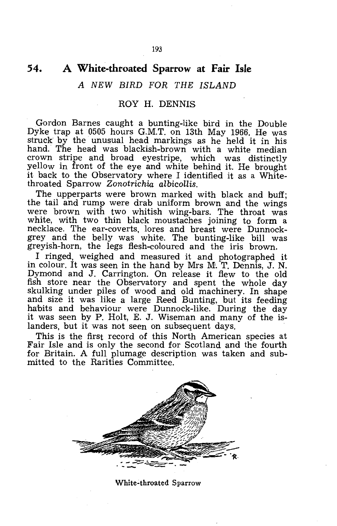### **54. A White-throated Sparrow at Fair Isle**

### A NEW BIRD FOR THE ISLAND

#### ROY H. DENNIS

Gordon Barnes caught a bunting-like bird in the Double Dyke trap at 0505 hours G.M.T. on 13th May 1966. He was struck by the unusual head markings as he held it in his hand. The head was blackish-brown with a white median crown stripe and broad eyestripe, which was distinctly yellow in front of the eye and white behind it. He brought it back to the Observatory where I identified it as a Whitethroated Sparrow *Zonotrichia albicollis.* 

The upperparts were brown marked with black and buff; the tail and rump were drab uniform brown and the wings were brown with two whitish wing-bars. The throat was white, with two thin black moustaches joining to form a necklace. The ear-coverts, lores and breast were Dunnockgrey and the belly was white. The bunting-like bill was greyish-horn, the legs flesh-coloured and the iris brown.

I ringed, weighed and measured it and photographed it in colour. It was seen in the hand by Mrs M. T. Dennis, J. N. Dymond and J. Carrington. On release it flew to the old fish store near the Observatory and spent the whole day skulking under piles of wood and old machinery. In shape and size it was like a large Reed Bunting, but its feeding habits and behaviour were Dunnock-like. During the day it was seen by P. Holt, E. J. Wiseman and many of the islanders, but it was not seen on subsequent days.

This is the first record of this North American species at Fair Isle and is only the second for Scotland and the fourth for Britain. A full plumage description was taken and submitted to the Rarities Committee.



White~throated Sparrow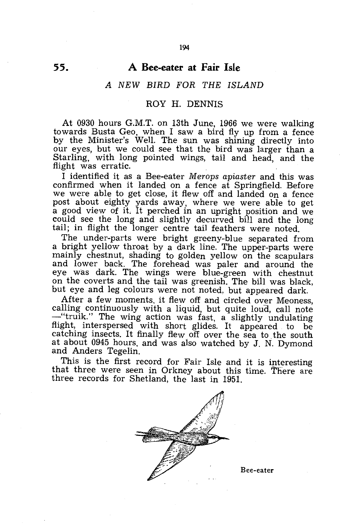### **A Bee-eater at Fair Isle**

194

#### *A NEW BIRD FOR THE ISLAND*

#### ROY H. DENNIS

At 0930 hours G.M.T. on 13th June, 1966 we were walking towards Busta Geo, when I saw a bird fly up from a fence by the Minister's Well. The sun was shining directly into our eyes, but we could see that the bird was larger than a Starling, with long pointed wings, tail and head, and the flight was erratic.

I identified it as a Bee-eater *Merops apiaster* and this was confirmed when it landed on a fence at Springfield. Before we were able to get close, it flew off and landed on a fence post about eighty yards away, where we were able to get a good view of it, It perched in an upright position and we could see the long and slightly decurved bill and the long tail; in flight the longer centre tail feathers were noted.

The under-parts were bright greeny-blue separated from a bright yellow throat by a dark line. The upper-parts were mainly chestnut, shading to golden yellow on the scapulars and lower back. The forehead was paler and around the eye was dark. The wings were blue-green with chestnut on the coverts and the tail was greenish. The bill was black, but eye and leg colours were not noted, but appeared dark.

After a few moments. it flew off and circled over Meoness, calling continuously with a liquid, but quite loud, call note -"truik." The wing action was fast, a slightly undulating flight, interspersed with short glides. It appeared to be catching insects. It finally flew off over the sea to the south at about 0945 hours, and was also watched by J. N. Dymond and Anders Tegelin.

This is the first record for Fair Isle and it is interesting that three were seen in Orkney about this time. There are three records for Shetland, the last in 1951.



Bee-eater

**55.**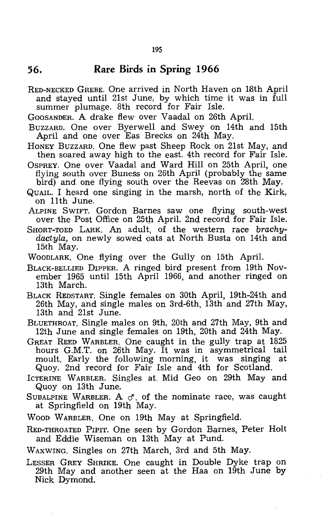**56. Rare Birds in Spring 1966** 

RED-NECKED GREBE. One arrived in North Haven on 18th April and stayed until 21st June; by which time it was in full summer plumage. 8th record for Fair Isle.

GOOSANDER. A drake flew over Vaadal on 26th April.

BUZZARD. One over Byerwell and Swey on 14th and 15th April and one over Eas Brecks on 24th May.

HONEY BUZZARD. One flew past Sheep Rock on 21st May, and then soared away high to the east. 4th record for Fair Isle.

OSPREY. One over Vaadal and Ward Hill on 25th April, one flying south over Buness on 26th April (probably the same bird) and one flying south over the Reevas on 28th May.

- QUAIL. I heard one singing in the marsh, north of the Kirk, on 11th June.
- ALPINE SWIFT. Gordon Barnes saw one flying south-west over the Post Office on 25th April. 2nd record for Fair Isle.
- SHORT-TOED LARK. An adult, of the western race *brachydactyla,* on newly sowed oats at North Busta on 14th and 15th May.

WOODLARK. One flying over the Gully on 15th April.

BLACK-BELLIED DIPPER. A ringed bird present from 19th November 1965 until 15th April 1966, and another ringed on 13th March.

BLACK REDSTART. Single females on 30th April, 19th-24th and 26th May, and single males on 3rd-6th, 13th and 27th May, 13th and 21st June.

BLUETHROAT. Single males on 9th, 20th and 27th May, 9th and 12th June and single females on 19th, 20th and 24th May.

GREAT REED WARBLER. One caught in the gully trap at 1825 hours G.M.T. on 26th May. It was in asymmetrical tail moult. Early the following morning, it was singing Quoy. 2nd record for Fair Isle and 4th for Scotland.

ICTERINE WARBLER. Singles at, Mid Geo On 29th May and Quay on 13th June.

- SUBALPINE WARBLER. A  $\sigma$ , of the nominate race, was caught at Springfield on 19th May.
- WOOD WARBLER. One on 19th May at Springfield.
- RED-THROATED PIPIT. One seen by Gordon Barnes, Peter Holt and Eddie Wiseman on 13th May at Pund.

WAXWING. Singles on 27th March, 3rd and 5th May.

LESSER GREY SHRIKE. One caught in Double Dyke trap on 29th May and another seen at the Haa on 19th June by Nick Dymond.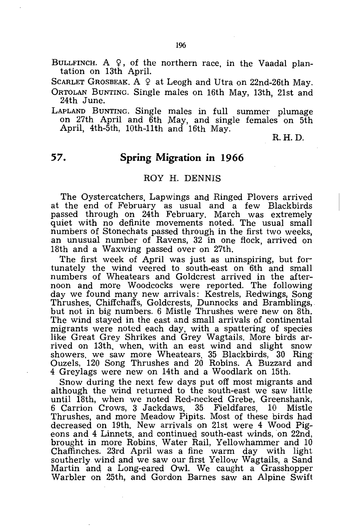BULLFINCH. A  $\varphi$ , of the northern race, in the Vaadal plantation on 13th April.

SCARLET GROSBEAK. A  $9$  at Leogh and Utra on 22nd-26th May.

ORTOLAN BUNTING. Single males on 16th May, 13th, 21st and 24th June.

LAPLAND BUNTING. Single males in full summer plumage on 27th April and 6th May, and single females on 5th April, 4th-5th, 10th-11th and 16th May.

R.H.D.

### **57. Spring Migration in 1966**

#### ROY H. DENNIS

The Oystercatchers, Lapwings and Ringed Plovers arrived at the end of February as usual and a few Blackbirds passed through on 24th February. March was extremely quiet with no definite movements noted. The usual small numbers of Stonechats passed through in the first two weeks, an unusual number of Ravens, 32 in one flock, arrived on 18th and a Waxwing passed over on 27th.

The first week of April was just as uninspiring, but fortunately the wind veered to south-east on 6th and small numbers of Wheatears and Goldcrest arrived in the afternoon and more Woodcocks were reported. The following day we found many new arrivals: Kestrels, Redwings, Song Thrushes, Chiffchaffs, Goldcrests, Dunnocks and Bramblings, but not in big numbers. 6 Mistle Thrushes were new on 8th. The wind stayed in the east and small arrivals of continental migrants were noted each day, with a spattering of species like Great Grey Shrikes and Grey Wagtails. More birds arrived on 13th, when, with an east wind and slight snow showers, we saw more Wheatears, 35 Blackbirds, 30 Ring Ouzels, 120 Song Thrushes and 20 Robins. A Buzzard and 4 Greylags were new on 14th and a Woodlark on 15th.

Snow during the next few days put off most migrants and although the wind returned to the south-east we saw little until 18th, when we noted Red-necked Grebe, Greenshank, 6 Carrion Crows, 3 Jackdaws, 35 Fieldfares, 10 Thrushes, and more Meadow Pipits. Most of these birds had decreased on 19th. New arrivals on 21st were 4 Wood Pigeons and 4 Linnets, and continued south-east winds, on 22nd, brought in more Robins, Water Rail, Yellowhammer and 10 Chaffinches. 23rd April was a fine warm day with light southerly wind and we saw our first Yellow Wagtails, a Sand Martin and a Long-eared Owl. We caught a Grasshopper Warbler on 25th, and Gordon Barnes saw an Alpine Swift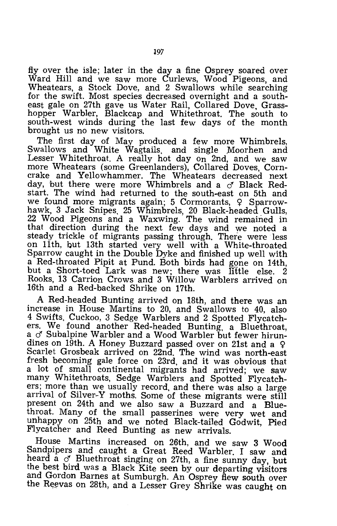fly over the isle; later in the day a fine Osprey soared over Ward Hill and we saw more Curlews, Wood Pigeons, and Wheatears, a Stock Dove, and 2 Swallows while searching for the swift. Most species decreased overnight and a southeast gale on 27th gave us Water Rail, Collared Dove, Grasshopper Warbler, Blackcap and Whitethroat. The south to south-west winds during the last few days of the month brought us no new visitors.

The first day of May produced a few more Whimbrels, Swallows and White Wagtails, and single Moorhen and Lesser Whitethroat. A really hot day on 2nd, and we saw more Wheatears (some Greenlanders), Collared Doves, Corncrake and Yellowhammer. The Wheatears decreased next day, but there were more Whimbrels and a  $\sigma$  Black Redstart. The wind had returned to the south-east on 5th and we found more migrants again; 5 Cormorants,  $Q$  Sparrowhawk, 3 Jack Snipes, 25 Whimbrels, 20 Black-headed Gulls, 22 Wood Pigeons and a Waxwing. The wind remained in that direction during the next few days and we noted a steady trickle of migrants passing through. There were less on 11th, but 13th started very well with a White-throated Sparrow caught in the Double Dyke and finished up well with a Red-throated Pipit at Pund. Both birds had gone on 14th, but a Short-toed Lark was new; there was little else. Rooks, 13 Carrion Crows and 3 Willow Warblers arrived on 16th and a Red-backed Shrike on 17th.

A Red-headed Bunting arrived on 18th, and there was an increase in House Martins to 20, and Swallows to 40, also 4 Swifts, Cuckoo, 3 Sedge Warblers and 2 Spotted Flycatchers. We found another Red-headed Bunting, a Bluethroat, a  $\sigma$  Subalpine Warbler and a Wood Warbler but fewer hirundines on 19th. A Honey Buzzard passed over on 21st and a  $\varphi$ Scarlet Grosbeak arrived on 22nd. The wind was north-east fresh becoming gale force on 23rd, and it was obvious that a lot of small continental migrants had arrived; we saw many Whitethroats, Sedge Warblers and Spotted Flycatchers; more than we usually record, and there was also a large arrival of Silver-Y moths. Some of these migrants were still present on 24th and we also saw a Buzzard and a Bluethroat. Many of the small passerines were very wet and unhappy on 25th and we noted Black-tailed Godwit, Pied Flycatcher and Reed Bunting as new arrivals.

House Martins increased on 26th, and we saw 3 Wood Sandpipers and caught a Great Reed Warbler. I saw and heard a  $\sigma$ . Bluethroat singing on 27th, a fine sunny day, but the best bird was a Black Kite seen by our departing visitors and Gordon Barnes at Sumburgh. An Osprey flew south over the Reevas on 28th, and a Lesser Grey Shrike was caught on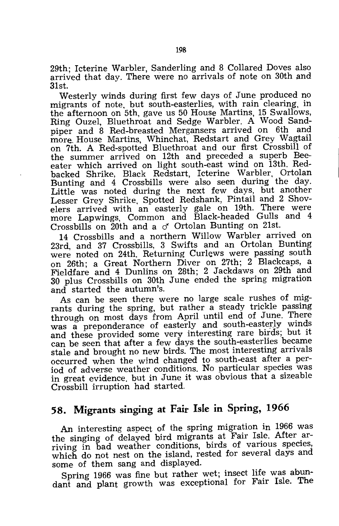29th; Icterine Warbler, Sanderling and 8 Collared Doves also arrived that day. There were no arrivals of note on 30th and 31st.

Westerly winds during first few days of June produced no migrants of note, but south-easterlies, with rain clearing, in the afternoon on 5th, gave us 50 House Martins, 15 Swallows, Ring Ouzel, Bluethroat and Sedge Warbler. A Wood Sandpiper and 8 Red-breasted Mergansers arrived on 6th and more. House Martins, Whinchat, Redstart and Grey Wagtail on 7th. A Red-spotted Bluethroat and our first Crossbill of the summer arrived on 12th and preceded a superb Beeeater which arrived on light south-east wind on i3th. Redbacked Shrike, Black Redstart, Icterine Warbler, Ortolan Bunting and 4 Crossbills were also seen during the day. Little was noted during the next few days, but another Lesser Grey Shrike, Spotted Redshank, Pintail and 2 Shovelers arrived with an easterly gale on 19th. There were more Lapwings, Common and Black-headed Gulls and 4 Crossbills on 20th and a *cf* Ortolan Bunting on 21st.

14 Crossbills and a northern Willow Warbler arrived on 23rd, and 37 Crossbills, 3 Swifts and an Ortolan Bunting were noted on 24th. Returning Curlews were passing south on 26th; a Great Northern Diver on 27th; 2 Blackcaps, a Fieldfare and 4 Dunlins on 28th; 2 Jackdaws on 29th and 30 plus Crossbills on 30th June ended the spring migration and started the autumn's.

As can be seen there were no large scale rushes of migrants during the spring, but rather a steady trickle passing through on most days from April until end of June. There was a preponderance of easterly and south-easterly winds and these provided some very interesting rare birds; but it can be seen that after a few days the south-easterlies became stale and brought no new birds. The most interesting arrivals occurred when the wind changed to south-east after a period of adverse weather conditions. No particular species was in great evidence, but in June it was obvious that a sizeable Crossbill irruption had started.

### **58. Migrants singing at Fair Isle in Spring, 1966**

An interesting aspect of the spring migration in 1966 was the singing of delayed bird migrants at Fair Isle. After arriving in bad weather conditions, birds of various species, which do not nest on the island, rested for several days and some of them sang and displayed.

Spring 1966 was fine but rather wet; insect life was abundant and plant growth was exceptional for Fair Isle. The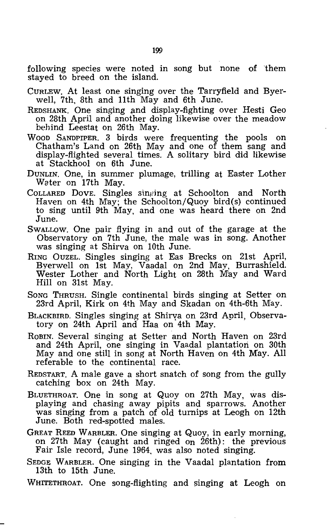following species were noted in song but none of 'them stayed to breed on the island.

- CURLEW. At least one singing over the Tarryfield and Byerwell, 7th, 8th and 11th May and 6th June.
- REDSHANK. One singing and display-fighting over Hesti Geo on 28th April and another doing likewise over the meadow behind Leestat on 26th May.
- WOOD SANDPIPER. 3 birds were frequenting the pools on Chatham's Land on 26th May and one of them sang and display-flighted several times. A solitary bird did likewise at Stackhool on 6th June.
- DUNLIN. One, in summer plumage, trilling at Easter Lother Water on 17th May.
- COLLARED DOVE. Singles singing at Schoolton and North Haven on 4th May; the Schoolton/Quoy bird(s) continued to sing until 9th May, and one was heard there on 2nd June.
- SWALLOW. One pair flying in and out of the garage at the Observatory on 7th June, the male was in song. Another was singing at Shirva on 10th June.
- RING OUZEL. Singles singing at Eas Brecks on 21st April, Byerwell on 1st May, Vaadal on 2nd May, Burrashield. Wester Lother and North Light on 28th May and Ward Hill on 31st May.
- SONG THRUSH. Single continental birds singing at Setter on 23rd April, Kirk on 4th May and Skadan on 4th-6th May.
- BLACKBIRD. Singles singing at Shirya on 23rd April, Observatory on 24th April and Haa on 4th May.
- ROBIN. Several singing at Setter and North Haven on 23rd and 24th April, one singing in Vaadal plantation on 30th May and one still in song at North Haven on 4th May. All referable to the continental race.
- REDSTART. A male gave a short snatch of song from the gully catching box on 24th May.
- BLUETHROAT. One in song at Quoy on 27th May, was displaying and chasing away pipits and sparrows. Another was singing from a patch of old turnips at Leogh on 12th June. Both red-spotted males.
- GREAT REED WARBLER. One singing at Quoy, in early morning, on 27th May (caught and ringed on 26th): the previous Fair Isle record, June 1964, was also noted singing.
- SEDGE WARBLER. One singing in the Vaadal plantation from 13th to 15th June.

WHITETHROAT. One song-flighting and singing at Leogh on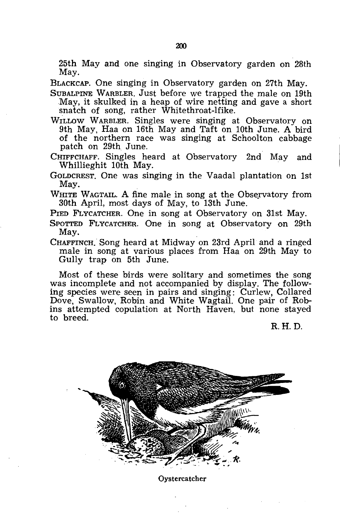25th May and one singing in Observatory garden on 28th May.

BLACKCAP. One singing in Observatory garden on 27th May.

SUB ALPINE WARBLER. Just before we trapped the male on 19th May, it skulked in a heap of wire netting and gave a short snatch of song, rather Whitethroat-lfike.

WILLOW WARBLER. Singles were singing at Observatory on 9th May, Haa on 16th May and Taft on 10th June. A bird of the northern race was singing at Schoolton cabbage patch on 29th June.

CHIFFCHAFF. Singles heard at Observatory 2nd May and Whillieghit 10th May.

GOLDCREST. One was singing in the Vaadal plantation on 1st May.

WHITE WAGTAIL. A fine male in song at the Observatory from 30th April, most days of May, to 13th June.

PIED FLYCATCHER. One in song at Observatory on 31st May.

SPOTTED FLYCATCHER. One in song at Observatory on 29th May.

CHAFFINCH. Song heard at Midway on 23rd April and a ringed male in song at various places from Haa on 29th May to Gully trap on 5th June.

Most of these birds were solitary and sometimes the song was incomplete and not accompanied by display. The following species were seen in pairs and singing: Curlew, Collared Dove, Swallow, Robin and White Wagtail. One pair of Robins attempted copulation at North Haven, but none stayed to breed.

R.H.D.



Oystercatcher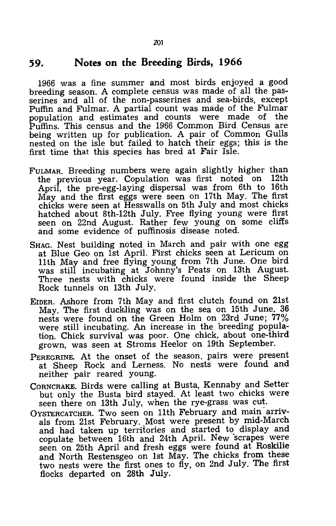### **59. Notes on the Breeding Birds, 1966**

1966 was a fine summer and most birds enjoyed a good breeding season. A complete census was made of all the passerines and all of the non-passerines and sea-birds, except Puffin and Fulmar. A partial count was made of the Fulmar population and estimates and counts were made of the Puffins. This census and the 1966 Common Bird Census are being written up for publication. A pair of Common Gulls nested on the isle but failed to hatch their eggs; this is the first time that this species has bred at Fair Isle.

- FULMAR. Breeding numbers were again slightly higher than the previous year. Copulation was first noted on 12th April, the pre-egg-laying dispersal was from 6th to 16th May and the first eggs were seen on 17th May. The first chicks were seen at Hesswalls on 5th July and most chicks hatched about 8th-12th July. Free flying young were first seen on 22nd August. Rather few young on some cliffs and some evidence of puffinosis disease noted.
- SHAG. Nest building noted in March and pair with one egg at Blue Geo on 1st April. First chicks seen at Lericum on 11 th May and free flying young from 7th June. One bird was still incubating at Johnny's Peats on 13th August. Three nests with chicks were found inside the Sheep Rock tunnels on 13th July.
- EIDER. Ashore from 7th May and first clutch found on 21st May. The first duckling was on the sea on 15th June. 36 nests were found on the Green Holm on 23rd June; 77% were still incubating. An increase in the breeding population. Chick survival was poor. One chick, about one-third grown, was seen at Stroms Heelor on 19th September.
- PEREGRINE. At the onset of the season. pairs were present at Sheep Rock and Lerness. No nests were found and neither pair reared young.
- CORNCRAKE. Birds were calling at Busta, Kennaby and Setter but only the Busta bird stayed. At least two chicks were seen there on 13th July, when the rye-grass was cut.
- OYSTERCATCHER. Two seen on 11th February and main arrivals from 21st February. Most were present by mid-March and had taken up territories and started to display and copulate between 16th and 24th April. New scrapes were seen on 25th April and fresh eggs were found at Roskilie and North Restensgeo on 1st May. The chicks from these two nests were the first ones to fly, on 2nd July. The first flocks departed on 28th July.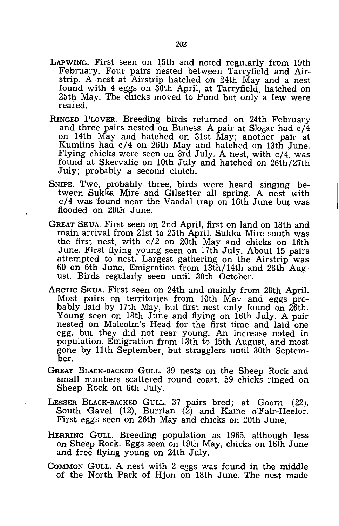- LAPWING. First seen on 15th and noted regularly from 19th February. Four pairs nested between Tarryfield and Airstrip. A nest at Airstrip hatched on 24th May and a nest found with 4 eggs on 30th April, at Tarryfield. hatched on 25th May. The chicks moved to Pund but only a few were reared.
- RINGED PLOVER. Breeding birds returned on 24th February and three pairs nested on Buness. A pair at Slogar had  $c/4$ on 14th May and hatched on 31st May;. another pair at Kumlins had c/4 on 26th May and hatched on 13th June. Flying chicks were seen on 3rd July. A nest, with c/4, was found at Skervalie on 10th July and hatched on 26th/27th July; probably a second clutch.
- SNIPE. Two, probably three, birds were heard singing between Sukka Mire and Gilsetter all spring. A nest with c/4 was found near the Vaadal trap on 16th June but was flooded on 20th June.
- GREAT SKUA. First seen on 2nd April, first on land on 18th and main arrival from 21st to 25th April. Sukka Mire south was the first nest, with c/2 on 20th May and chicks on 16th June. First flying young seen on 17th July. About 15 pairs attempted to nest. Largest gathering on the Airstrip was 60 on 6th June. Emigration from 13th/14th and 28th August. Birds regularly seen until 30th October.
- ARCTIC SKUA. First seen on 24th and mainly from 28th April. Most pairs on territories from 10th May and eggs probably laid by 17th May, but first nest only found on 26th. Young seen on 18th June and flying on 16th July. A pair nested on Malcolm's Head for the first time and laid one egg, but they did not rear young. An increase noted in population. Emigration from 13th to 15th August, and most gone by 11th September, but stragglers until 30th September.
- GREAT BLACK-BACKED GULL. 39 nests on the Sheep Rock and small numbers scattered round coast. 59 chicks ringed on Sheep Rock on 6th July.
- LESSER BLACK-BACKED GULL. 37 pairs bred; at Goorn (22), South Gavel (12), Burrian (2) and Kame o'Fair-Heelor. First eggs seen on 26th May and chicks on 20th June.
- HERRING GULL. Breeding population as 1965, although less on Sheep Rock. Eggs seen on 19th May, chicks on 16th June and free flying young on 24th July.
- COMMON GULL. A nest with 2 eggs was found in the middle of the North Park of Hjon on 18th June. The nest made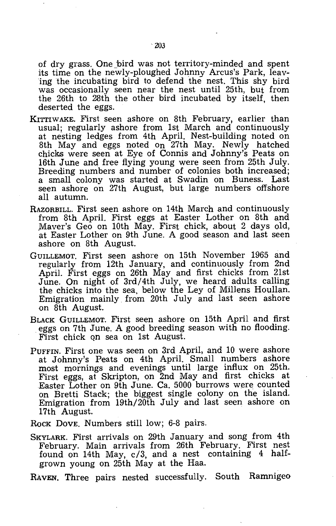of dry grass. One bird was not territory-minded and spent its time on the newly-ploughed Johnny Arcus's Park, leaving the incubating bird to defend the nest. This shy bird was occasionally seen near the nest until 25th, but from the 26th to 28th the other bird incubated by itself, then deserted the eggs.

- KITTIWAKE. First seen ashore on 8th February, earlier than usual; regularly ashore from 1st March and continuously at nesting ledges from 4th April. Nest-building noted on 8th May and eggs noted on 27th May. Newly hatched chicks were seen at Eye of Connis and Johnny's Peats on 16th June and free flying young were seen from 25th July. Breeding numbers and number of colonies both increased; a small colony was started at Swadin on Buness. Last seen ashore on 27th August, but large numbers offshore all autumn.
- RAZORBILL. First seen ashore on 14th March and continuously from 8th April. First eggs at Easter Lother on 8th and .Maver's Geo on 10th May. First chick, about 2 days old, at Easter Lother on 9th June. A good season and last seen ashore on 8th August.
- GUILLEMOT. First seen ashore on 15th November 1965 and regularly from 12th January, and continuously from 2nd April. First eggs on 26th May and first chicks from 21st June. On night of 3rd/4th July, we heard, adults calling the chicks into the sea, below the Ley of Millens Houllan. Emigration mainly from 20th July and last seen ashore on 8th August.
- BLACK GUILLEMOT. First seen ashore on 15th April and first eggs on 7th June. A good breeding season with no flooding. First chick on sea on 1st August.
- PUFFIN. First one was seen on 3rd April, and 10 were ashore at Johnny's Peats on 4th April. Small numbers ashore most mornings and evenings until large influx on 25th. First eggs, at Skripton, on 2nd May and first chicks at Easter Lother on 9th June. Ca. 5000 burrows were counted on Bretti Stack; the biggest single colony on the island. Emigration from 19th/20th July and last seen ashore on 17th August.

Rock Dove. Numbers still low; 6-8 pairs.

SKYLARK. First arrivals on 29th January and song from 4th February. Main arrivals from 26th February. First nest found on 14th May, c/3, and a nest containing 4 halfgrown young on 25th May at the Haa.

RAVEN. Three pairs nested successfully. South Ramnigeo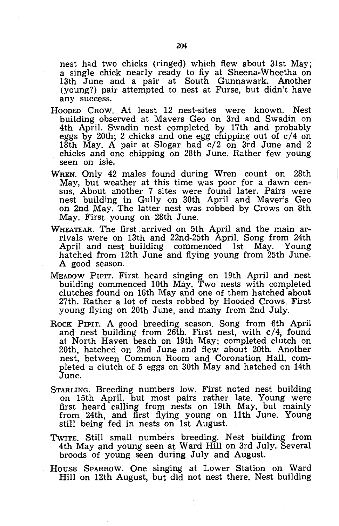nest had two chicks (ringed) which flew about 31st May; a single chick nearly ready to fly at Sheena-Wheetha on 13th June and a pair at South Gunnawark. Another (young?) pair attempted to nest at Furse, but didn't have any success.

- HOODED CROW. At least 12 nest-sites were known. Nest building observed at Mavers Geo on 3rd and Swadin on 4th April. Swadin nest completed by 17th and probably eggs by 20th; 2 chicks and one egg chipping out of  $c/4$  on 18th May. A pair at Slogar had  $c/2$  on 3rd June and 2 chicks and one chipping on 28th June. Rather few young seen on isle.
- WREN. Only 42 males found during Wren count on 28th May, but weather at this time was poor for a dawn census. About another 7 sites were found later. Pairs were nest building in Gully on 30th April and Maver's Geo on 2nd May. The latter nest was robbed by Crows on 8th May. First young on 28th June.
- WHEATEAR. The first. arrived on 5th April and the main arrivals were on 13th and 22nd-25th April. Song from 24th April and nest building commenced 1st May. Young hatched from 12th June and flying young from 25th June. A good season.
- MEADOW PIPIT. First heard singing on 19th April and nest building commenced 10th May. Two nests with completed clutches found on 16th May and one of them hatched about 27th. Rather a lot of nests robbed by Hooded Crows. First young flying on 20th June, and many from 2nd July.
- ROCK PIPIT. A good breeding season. Song from 6th April and nest building from 26th. First nest, with c/4, found at North Haven beach on 19th May; completed clutch on 20th, hatched on 2nd June and flew about 20th. Another nest, between Common Room and Coronation Hall, completed a clutch of 5 eggs on 30th May and hatched on 14th June.
- STARLING. Breeding numbers low. First noted nest building on 15th April, but most pairs rather late. Young were first heard calling from nests on 19th May, but mainly from 24th, and first flying young on 11th June. Young still being fed in nests on 1st August.
- TWITE. Still small numbers breeding. Nest building from 4th May and young seen at Ward Hill on 3rd July. Several broods of young seen during July and August.
- HOUSE SPARROW. One singing at Lower Station on Ward Hill on 12th August, but did not nest there. Nest building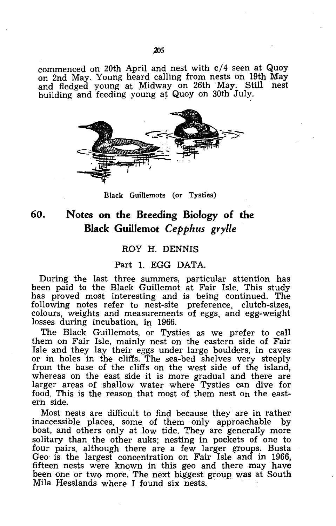commenced on 20th April and nest with c/4 seen at Quoy on 2nd May. Young heard calling from nests on 19th May and fledged young at Midway on 26th May. Still nest building and feeding young at Quoy on 30th July.



Black Guillemots (or Tysties)

### **60. Notes on the Breeding Biology of the Black Guillemot** *Cepphus grylle*

#### ROY H. DENNIS

#### Part 1. EGG DATA.

During. the last three summers, particular attention has been paid to the Black Guillemot at Fair Isle. This study has proved most interesting and is 'being continued. The following notes refer to nest-site preference, clutch-sizes, colours, weights and measurements of eggs, and egg-weight losses during incubation, in 1966.

The Black Guillemots, or Tysties as we prefer to call them on Fair Isle, mainly nest on the eastern side of Fair Isle and they lay their eggs under large boulders, in caves or in holes in the cliffs. The sea-bed shelves very steeply from the base of the cliffs on the west side of the island, whereas on the east side it is more gradual and there are larger areas of shallow water where Tysties can dive for food. This is the reason that most of them nest on the eastern side.

Most nests are difficult to find because they are in rather inaccessible places, some of them only approachable by boat, and others only at low tide. They are generally more solitary than the other auks; nesting in pockets of one to four pairs, although there are a few larger groups. Busta Geo is the largest concentration on Fair Isle and in 1966, fifteen nests were known in this geo and there may have been one or two more. The next biggest group was at South Mila Hesslands where I found six nests.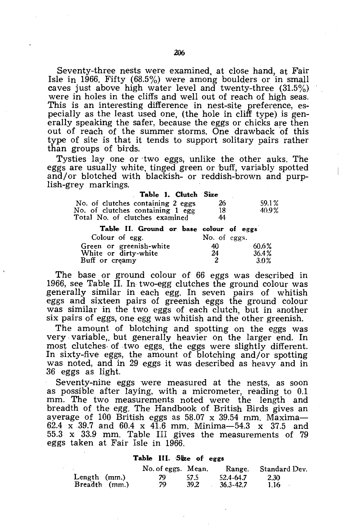Seventy-three nests were examined, at close hand, at Fair Isle in 1966. Fifty (68.5%) were among boulders or in small caves just above high water level and twenty-three (31.5%) were in holes in the cliffs and well out of reach of high seas. This is an interesting difference in nest-site preference, especially as the least used one, (the hole in cliff type) is generally speaking the safer, because the eggs or chicks are then out of reach of the summer storms. One drawback of this type of site is that it tends to support solitary pairs rather than groups of birds.

Tysties lay one or two eggs, unlike the other auks. The eggs are usually white, tinged green or buff, variably spotted and/or blotched with blackish- or reddish-brown and purplish-grey markings.

| Table 1. Clutch Size                    |              |       |
|-----------------------------------------|--------------|-------|
| No. of clutches containing 2 eggs       | 26           | 59.1% |
| No. of clutches containing 1 egg        | 18           | 40.9% |
| Total No. of clutches examined          | 44           |       |
| Table II. Ground or base colour of eggs |              |       |
| Colour of egg.                          | No. of eggs. |       |
| Green or greenish-white                 | 40.          | 60.6% |
| White or dirty-white                    | 24           | 36.4% |
| Buff or creamy                          | 2            | 3.0%  |

The base or ground colour of 66 eggs was described in 1966, see Table II. In two-egg clutches the ground colour was generally similar in each egg. In seven pairs of whitish eggs and sixteen pairs of greenish eggs the ground colour was similar in the two eggs of each clutch, but in another six pairs of eggs, one egg was whitish and the other greenish.

The amount of blotching and spotting on the eggs was very variable, but generally heavier on the larger end. In most clutches- of two eggs, the eggs were slightly different. In sixty-five eggs, the amount of blotching and/or spotting was noted, and in 29 eggs it was described as heavy and in 36 eggs as light.

Seventy-nine eggs were measured at the nests, as soon as possible after laying, with a micrometer, reading to 0.1 mm. The two measurements noted were the length and breadth of the egg. The Handbook of British Birds gives an average of  $100$  British eggs as  $58.07$  x  $39.54$  mm. Maxima-62.4 x 39.7 and *6004* x 41.6 mm. Minima-54.3 x 37.5 and 55.3 x 33.9 mm. Table IH gives the measurements of 79 eggs taken at Fair Isle in 1966.

#### Table III. Size of eggs

|                                 | No. of eggs. Mean. |              |                            | Range. Standard Dev. |
|---------------------------------|--------------------|--------------|----------------------------|----------------------|
| Length $(mm.)$<br>Breadth (mm.) | 79.<br>79          | 57.5<br>39.2 | 52.4-64.7<br>$36.3 - 42.7$ | 2.30<br>$1.16 -$     |
|                                 |                    |              |                            | $\sim$               |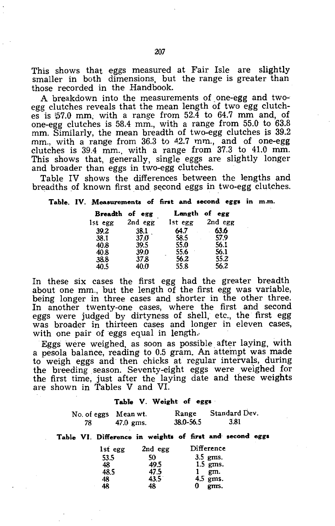A breakdown into the measurements of one-egg and twoegg clutches reveals that the mean length of two egg clutches is  $57.0$  mm, with a range from  $52.4$  to  $64.7$  mm and, of one-egg clutches is 58.4 mm., with a range from 55.0 to 63.8 mm. Similarly, the mean breadth of two-egg clutches is 39.2 mm., with a range from 36.3 to 42.7 mm., and of one-egg clutches is 39.4 mm., with a range from 37.3 to 41.0 mm. This shows that, generally, single eggs are slightly longer and broader than eggs in two-egg clutches.

Table IV shows the differences between the lengths and breadths of known first and second eggs in two-egg clutches.

#### Table. IV. Measurements of first and second eggs in m.m.

| <b>Breadth</b> | of egg  | Length    | of egg  |
|----------------|---------|-----------|---------|
| lst egg        | 2nd egg | Ist egg   | 2nd egg |
| 39.2           | 38.1    | 64.7      | 63.6    |
| 38.1           | 37.0    | 58.5      | 57.9    |
| 40.8           | 39.5    | 55.0      | 56.1    |
| 40.8           | 39.0    | 55.6<br>٠ | 56.1    |
| 38.8           | 37.8    | 56.2      | 55.2    |
| 40.5           | 40.O    | 55.8      | 56.2    |

In these six cases the first egg had the greater breadth about one mm., but the length of the first egg was variable, being longer in three cases and shorter in the other three. In another twenty-one cases, where the first and second eggs were judged by dirtyness of shell, etc., the first egg was broader in thirteen cases and longer in eleven cases, with one pair of eggs equal in length.

Eggs were weighed, as soon as possible after laying, with a pesola balance, reading to 0.5 gram. An attempt was made to weigh eggs and then chicks at regular intervals, during the breeding season. Seventy-eight eggs were weighed for the first time, just after the laying date and these weights are shown in Tables V and VI.

#### Table V. Weight of egg.

| No. of eggs Mean wt. |             | Range     | Standard Dev. |
|----------------------|-------------|-----------|---------------|
| 78                   | $47.0$ gms. | 38.0-56.5 | 3.81          |

#### Table VI. Difference in weights of first and second eggs

| lst egg | 2nd egg | Difference      |
|---------|---------|-----------------|
| 53.5    | 50      | $3.5$ ems.      |
| 48      | 49.5    | $1.5$ gms.      |
| 48.5    | 47.5    | $1 \text{ gm.}$ |
| 48      | 43.5    | $4.5$ gms.      |
| 48      | 48      | $0$ gms.        |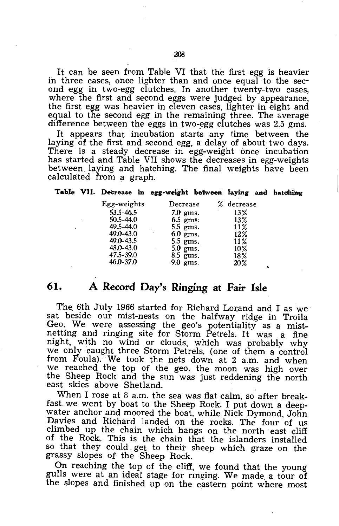It can be seen from Table VI that the first egg is heavier in three cases, once lighter than and once equal to the second egg in two-egg clutches. In another twenty-two cases, where the first and second eggs were judged by appearance, the first egg was heavier in eleven cases, lighter in eight and equal to the second egg in the remaining three. The average difference between the eggs in two-egg clutches was  $2.5$  gms.

It appears that incubation starts any time between the laying of the first and second egg, a delay of about two days. There is a steady decrease in egg-weight once incubation has started and Table VII shows the decreases in egg-weights between laying and hatching. The final weights have been calculated from a graph.

#### Table VII. Decrease in egg-weight between laying and hatching

| Egg-weights   | Decrease   | % decrease |
|---------------|------------|------------|
| $53.5 - 46.5$ | $7.0$ gms. | 13%        |
| $50.5 - 44.0$ | $6.5$ gms. | 13%        |
| 49.5-44.0     | $5.5$ gms. | 11%        |
| 49.0-43.0     | $6.0$ gms. | 12%        |
| 49.0-43.5     | $5.5$ gms. | 11%        |
| 48.0-43.0     | $5.0$ gms. | $10\%$     |
| 47.5-39.0     | $8.5$ gms. | 18%        |
| 46.0-37.0     | 9.0 ems.   | 20%        |

### **61. A Record** Day's **Ringing at Fair Isle**

The 6th July 1966 started for Richard Lorand and I as we sat beside our mist-nests on the halfway ridge in Troila Geo. We were assessing the geo's potentiality as a mist-<br>netting and ringing site for Storm Petrels. It was a fine night, with no wind or clouds, which was probably why we only caught three Storm Petrels, (one of them a control from Foula). We took the nets down at 2 a.m. and when we reached the top of the geo, the moon was high over the Sheep Rock and the sun was just reddening the north east skies above Shetland.

When I rose at 8 a.m. the sea was flat calm, so after breakfast we went by boat to the Sheep Rock. I put down a deepwater anchor and moored the boat, while Nick Dymond, John Davies and Richard landed on the rocks. The four of us climbed up the chain which hangs on the north east cliff of the Rock. This is the chain that the islanders installed so that they could, get to their sheep which graze on the grassy slopes of the Sheep Rock.

On reaching the top of the cliff, we found that the young gulls were at an ideal stage for rmging. We made, a tour of the slopes and finished up on the eastern point where most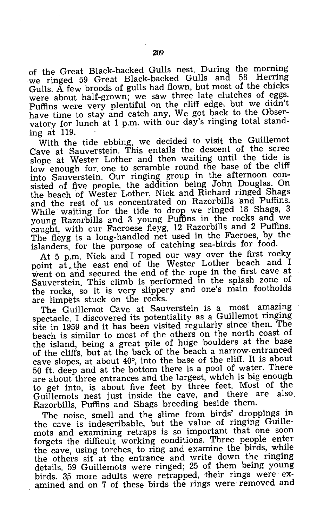of the Great Black-backed Gulls nest. During the morning we ringed 59 Great Black-backed Gulls and 58 Herring Gulls.  $\tilde{A}$  few broods of gulls had flown, but most of the chicks were about half-grown; we saw three late clutches of eggs. Puffins were very plentiful on the cliff edge; but we didn't have time to stay and catch any. We got back to the Observatory for lunch at 1 p.m. with our day's ringing total standing at 119.

With the tide ebbing, we decided to visit the Guillemot Cave at Sauverstein. This entails the descent of the scree slope at Wester Lother and then waiting until the tide is low enough for one to scramble round the base of the cliff into Sauverstein. Our ringing group in the afternoon consisted of five people, the addition being John Douglas. On the beach of Wester Lother, Nick and Richard ringed Shags and the rest of us concentrated on Razorbills and Puffins. While waiting for the tide to drop we ringed 18 Shags, 3 young Razorbills and 3 young Puffins in the rocks and we caught, with our Faeroese fleyg, 12 Razorbills and 2 Puffins. The fleyg is a long-handled net used in the Faeroes, by the islanders, for the purpose of catching sea-birds for food.

At 5 p.m. Nick and I roped our way over the first rocky point at. the east end of the Wester Lother beach and I went on and secured the end of the rope in the first cave at Sauverstein. This climb is performed in the splash zone of the rocks, so it is very slippery and one's main footholds are limpets stuck on the rocks.

The Guillemot Cave at Sauverstein is a most amazing spectacle. I discovered its potentiality as a Guillemot ringing site in 1959 and it has been visited regularly since then. The beach is similar to most of the others on the north coast of the island, being a great pile of huge boulders at the base of the cliffs, but at the back of the beach a narrow-entranced cave slopes, at about 40°, into the base of the cliff. It is about 50 ft. deep and at the bottom there is a pool of water. There are about three entrances and the largest, which is big enough to get into, is about five feet by three feet. Most of the Guillemots nest just inside the cave, and there are also. Razorbills, Puffins and Shags breeding beside them.

The noise, smell and the slime from birds' droppings in the cave is indescribable, but the value of ringing Guillemots and examining retraps is so important that one soon forgets the difficult working conditions. Three people enter the cave, using torches, to ring and examine the birds, while the others sit at the entrance and write down the ringing details. 59 Guillemots were ringed; 25 of them being young birds. 35 more adults were retrapped, their rings were examined and on 7 of these birds the rings were removed and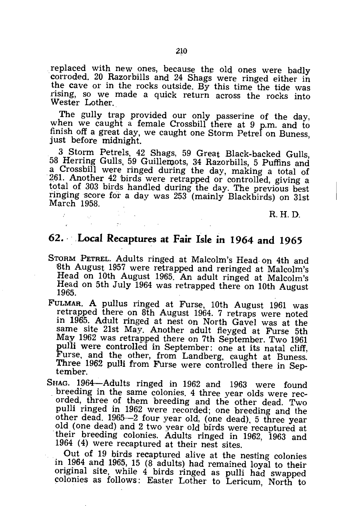replaced with new ones, because the old ones were badly corroded. 20 Razorbills and 24 Shags were ringed either in the cave or in the rocks outside. By this time the tide was rising, so we made a quick return across the rocks into Wester Lother.

The gully trap provided our only passerine of the day, when we caught a female Crossbill there at 9 p.m. and to finish off a great day, we caught one Storm Petrel on Buness, just before midnight.

3 Storm Petrels, 42 Shags, 59 Great Black-backed Gulls, 58 Herring Gulls, 59 Guillemots, 34 Razorbills, 5 Puffins and a Crossbill were ringed during the day, making a total of 261. Another 42 birds were retrapped or controlled, giving a total of 303 birds handled during the day. The previous best ringing score for a day was 253 (mainly Blackbirds) on 31st March 1958.

R.H.D.

### **62 .** .. ,Local **Recaptures at Fair Isle in 1964 and 1965**

 $\bar{t}$ 

- STORM PETREL. Adults ringed at Malcolm's Head· on 4th and 8th August 1957 were retrapped and reringed at Malcolm's Head on 10th August 1965. An adult ringed at Malcolm's Head on 5th July 1964 was retrapped there on 10th August 1965.
- FULMAR. A pullus ringed at Furse, 10th August 1961 was retrapped there on 8th August 1964. 7 retraps were noted in 1965. Adult ringed at nest on North Gavel was at the same site 21st May. Another adult fleyged at Furse 5th May 1962 was retrapped there on 7th September. Two 1961 pulli were controlled in September: one at its natal cliff, Furse, and the other, from Landberg, caught at Buness. Three 1962 pulli from Furse were controlled there in September.

SHAG. 1964-Adults ringed in 1962 and 1963 were found breeding in the same colonies. 4 three year olds were recorded, three of them breeding and the other dead. Two pulli ringed in 1962 were recorded; one breeding and the other dead. 1965-2 four year old, (one dead), 5 three year old (one dead) and 2 two year old birds were recaptured at their breeding colonies. Adults ringed in 1962, 1963 and 1964 (4) were recaptured at their nest sites.

Out of 19 birds recaptured alive at the nesting colonies in 1964 and 1965, 15  $(8^{\circ}$  adults) had remained loyal to their original site, while 4 birds ringed as pulli had swapped colonies as follows: Easter Lother to Lericum, North to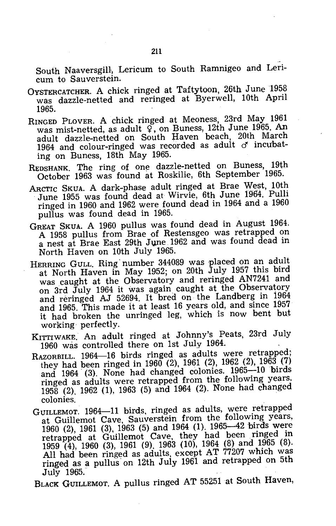South Naaversgill, Lericum to South Ramnigeo and Lericum to Sauverstein.

- OYSTERCATCHER. A chick ringed at Taftytoon, 26th June 1958 was dazzle-netted and reringed at Byerwell, 10th April 1965.
- RINGED PLOVER. A chick ringed at Meoness, 23rd May 1961 was mist-netted, as adult  $\widetilde{q}$ , on Buness, 12th June 1965. An adult dazzle-netted on South Haven beach, 20th March 1964 and colour-ringed was recorded as adult *cf* incubating on Buness, 18th May 1965.
- REDSHANK. The ring of One dazzle-netted on Buness, 19th October 1963 was found at Roskilie, 6th September 1965.
- ARCTIC SKUA. A dark-phase adult ringed at Brae West, 10th June 1955 was found dead at Wirvie, 6th June 1964. Pulli ringed in 1960 and 1962 were found dead in 1964 and a 1960 pullus was found dead in 1965.
- GREAT SKUA. A 1960 pullus was found dead in August 1964. A 1958 pullus from Brae of Restensgeo was retrapped on a nest at Brae East 29th June 1962 and was found dead in North Haven on 10th July 1965.
- HERRING GULL. Ring number 344089 was placed on an adult at North Haven in May 1952; on 20th July 1957 this bird was caught at the Observatory and reringed AN7241 and on 3rd July 1964 it was again caught at the Observatory and reringed AJ 52694. It bred on the Landberg in 1964 and 1965. This made it at least 16 years old, and since 1957 it had broken the unringed leg, which is now bent but working· perfectly.
- KITTIWAKE. An adult ringed at Johnny's Peats, 23rd July 1960 was controlled there on 1st July 1964.
- RAZORBILL. 1964-16 birds ringed as adults were retrapped; they had been ringed in 1960 (2), 1961 (2), 1962 (2), 1963 (7) and 1964 (3). None had changed colonies. 1965-10 birds ringed as adults were retrapped from the following years, 1958 (2), 1962 (1), 1963 (5) and 1964 (2). None had changed colonies.
- GUILLEMOT. 1964-11 birds, ringed as adults, were retrapped at Guillemot Cave, Sauverstein from the following years, 1960 (2), 1961 (3), 1963 (5) and 1964 (1). 1965-42 birds were retrapped at Guillemot Cave, they had been. ringed in 1959 (4), 1960 (3), 1961 (9), 1963 (10), 1964 (8) and 1965 (8). All had been ringed as adults, except AT 77207 which was ringed as a pullus on 12th July 1961 and retrapped on 5th July 1965.

BLACK GUILLEMOT. A pullus ringed AT 55251 at South Haven,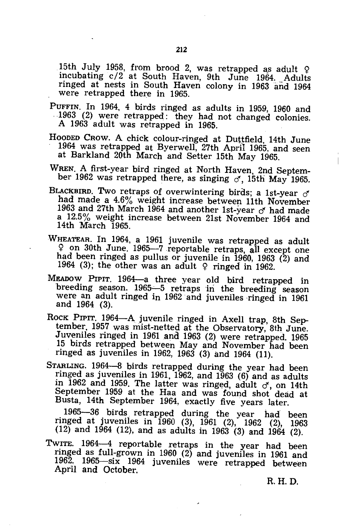15th July 1958, from brood 2, was retrapped as adult  $\varphi$ incubating c/2 at South Haven, 9th June 1964. Adults ringed at nests in South Haven colony in 1963 and 1964 were retrapped there in 1965.

PUFFIN. In 1964, 4 birds ringed as adults in 1959, 1960 and .1963 (2) were retrapped: they had not changed colonies. A 1963 adult was retrapped in 1965.

HOODED CROW. A chick colour-ringed at Duttfield, 14th June 1964 was retrapped at Byerwell, 27th April 1965, and seen at Barkland 20th March and Setter 15th May 1965.

WREN. A first-year bird ringed at North Haven, 2nd September 1962 was retrapped there, as singing  $\sigma$ , 15th May 1965.

- BLACKBIRD. Two retraps of overwintering birds; a 1st-year  $\sigma$ had made a 4.6% weight increase between 11th November 1963 and 27th March 1964 and another 1st-year  $\sigma$  had made a 12.5% weight increase between 21st November 1964 and 14th March 1965.
- WHEATEAR. In 1964, a 1961 juvenile was retrapped as adult <;> on 30th June. 1965-7 reportable retraps, all except one had been ringed as pullus or juvenile in 1960, 1963 (2) and 1964 (3); the other was an adult  $\varphi$  ringed in 1962.
- MEADOW PIPIT. 1964-a three year old bird retrapped in breeding season. 1965-5 retraps in the breeding season were an adult ringed in 1962 and juveniles ringed in 1961 and 1964 (3).
- ROCK PIPIT. 1964-A juvenile ringed in Axell trap, 8th September. 1957 was mist-netted at the Observatory, 8th June. Juveniles ringed in 1961 and 1963 (2) were retrapped. 1965 15 birds retrapped between May and November had been ringed as juveniles in 1962, 1963 (3) and 1964 (11).

STARLING. 1964-8 birds retrapped during the year had been ringed as juveniles in 1961, 1962, and  $1\overline{9}63$  (6) and as adults in 1962 and 1959. The latter was ringed, adult  $\sigma'$ , on 14th September 1959 at the Haa and was found shot dead at Busta, 14th September 1964, exactly five years later.

1965-36 birds. retrapped during the year had been ringed at juveniles in 1960 (3), 1961 (2), 1962 (2), 1963  $(12)$  and 1964 (12), and as adults in 1963 (3) and 1964 (2).

TwITE. 1964-4 reportable retraps in the year had been ringed as full-grown in 1960 (2) and juveniles in 1961 and 1962. 1965-six 1964 juveniles were retrapped between April and October.

R.H.D.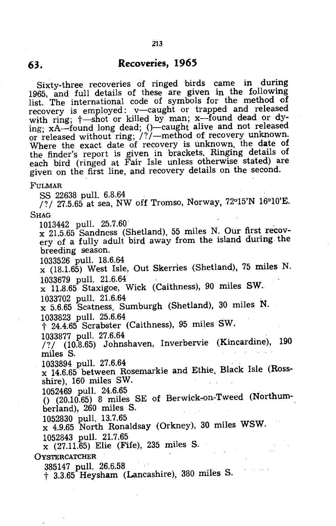### **63. Recoveries, 1965**

Sixty-three recoveries of ringed birds came in during 1965, and full details of these are given in. the following list. The international code of symbols for the method of recovery is employed: v-caught or trapped and released with ring;  $\dagger$ —shot or killed by man; x—found dead or dying; xA—found long dead; ()—caught alive and not released or released without ring; /?/—method of recovery unknown. Where the exact date of recovery is unknown. the date of the finder's report is given in brackets. Ringing details of each bird (ringed at Fair Isle unless otherwise stated) are given on the first line, and recovery details on the second.

#### FULMAR

SS 22638 pull. 6.8.64

*I? I* 27.5.65 at sea, NW off Tromso, Norway, 72°15'N 16°10'E. SHAG

1013442 pull. 25.7.60 . . \_ x 21.5.65 Sandness (Shetland). 55 miles N. Our first recovery of a fully adult bird, away from the island during the breeding season.

1033526 pull. 18.6.64 .  $x$  (18.1.65) West Isle, Out Skerries (Shetland), 75 miles N. 1033679 pull. 21.6.64

x 11..8.65 Staxigoe, Wick (Caithness), 90 miles SW. 1033702 pull. 21.6.64

x 5.6.65 Scatness. Sumburgh (Shetland), 30 miles N.

1033823 pull. 25.6.64<br>† 24.4.65 Scrabster (Caithness), 95 miles SW.

1033877 pull. 27.6.64

*I? I* (10.8.65) Johnshaven, Inverbervie (Kincardine), 190 miles S.

1033894 pull. 27.6.64

x 14.6.65 between Rosemarkie and Ethie. Black Isle (Rossshire). 160 miles SW.

1052469 pull. 24.6.65<br>() (20.10.65) 8 miles SE of Berwick-on-Tweed (Northumberland), 260 miles S.

1052830 pull. 13.7.65

x 4.9.65 North Ronaldsay (Orkney), 30 miles WSW. 1052843 pull. 21.7.65

x (27.11.65) Elie (Fife), 235 miles S.

#### **OYSTERCATCHER**

385147 pull. 26.6.58

t 3.3.65 Heysham (Lancashire), 380 miles S.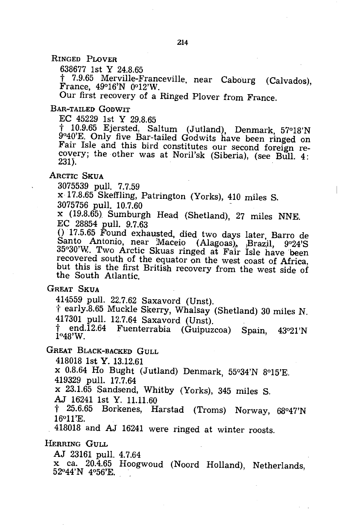RINGED PLOVER

638677 1st Y 24.8.65

t 7.9.65 Merville-Franceville, near Cabourg (Calvados), France, 49°16'N 0012'W.

Our first recovery of a Ringed Plover from France.

#### BAR-TAILED GODWIT

EC 45229 1st Y 29.8.65

t 10.9.65 Ejersted, Saltum (Jutland), Denmark, 57°18'N 9°40'E. Only five Bar-tailed Godwits have been ringed on Fair Isle and this bird constitutes our second foreign recovery; the other was at Noril'sk (Siberia), (see Bull. 4: 231).

#### ARCTIC SKUA

3075539 pull. 7.7.59

x 17.8.65 Skeffling, Patrington (Yorks), 410 miles S.

3075756 pull. 10.7.60

x *(19.B.65}* Sumburgh Head (Shetland), 27 miles NNE. EC 28854 pull. 9.7.63

o ·17.5.65 Found exhausted, died two days later, Barro de  $\operatorname{Sant}$  Antonio, near Maceio (Alagoas), Brazil, 9°24'S 35°30'W. Two Arctic Skuas ringed at Fair Isle have been recovered south of the equator on the west coast of Africa, but this is the first British recovery from the west side of the South Atlantic.

GREAT SKUA<br>414559 pull. 22.7.62 Saxavord (Unst).

 $\dagger$  early. 8.65 Muckle Skerry, Whalsay (Shetland) 30 miles N. 417301 pull. 12.7.64 Saxavord (Unst).

t end.12.64 Fuenterrahia (Guipuzcoa) Spain, 43°21'N *1°4B'W.* 

GREAT BLACK-BACKED GULL

*41B018* 1st Y. 13.12.61

x *0.B.64* Ho Bught (Jutland) Denmark, 55°34'N *B015'E.*  419329 pull. 17.7.64

x 23.1.65 Sandsend, Whitby (Yorks), 345 miles S.

AJ 16241 1st Y. 11.11.60

 $\uparrow$  25.6.65 Borkenes, Harstad (Troms) Norway, 68°47'N  $16^{\circ}11'E$ .

418018 and AJ 16241 were ringed at winter roosts.

HERRING GULL

AJ 23161 pull. 4.7.64

x ca. 20.4.65 Hoogwoud (Noord Holland), Netherlands,  $52^{\circ}44'N$  4°56'E.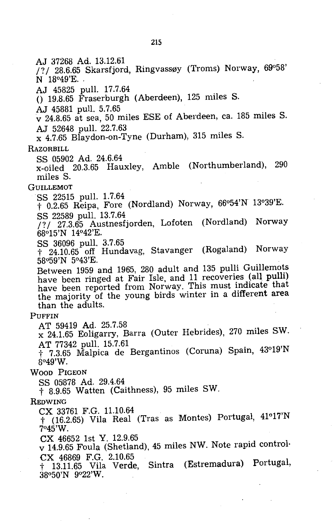AJ 37268 Ad. 13.12.61 /?/ 28.6.65 Skarsfjord, Ringvassøy (Troms) Norway, 69°58' N 18°49'E. ' AJ 45825 pull. 17.7.64  $($ ) 19.8.65 Fraserburgh (Aberdeen), 125 miles S. AJ 45881 pull. 5.7.65 v 24.8.65 at sea, 50 miles ESE of Aberdeen, ca. 185 miles S. AJ 52648 pull. 22.7.63 x 4.7.65 Blaydon-on-Tyne (Durham), 315 miles S. **RAZORBILL** SS 05902 Ad. 24.6.64 x-oiled 20.3.65 Hauxley, Amble (Northumberland), 290 miles S. **GUILLEMOT** SS 22515 pull. 1.7.64 t 0.2.65 Reipa, Fore (Nordland) Norway, 66°54'N 13°39'E. SS 22589 pull. 13.7.64 /? / 27.3.65 Austnesfjorden, Lofoten (Nordland) Norway 68°15'N 14°42'E. SS 36096 pull. 3.7.65 t 24.10.65 off Hundavag, Stavanger (Rogaland) Norway 58"59'N 5°43'E. Between 1959 and 1965, 280 adult and 135 pulli Guillemots have been ringed at Fair Isle, and 11 recoveries (all pulli) have been reported from Norway. This must indicate that the majority of the young birds winter in a different area than the adults. PUFFIN AT 59419 Ad. 25.7.58 x 24.1.65 Eoligarry, Barra (Outer Hebrides), 270 miles SW. AT 77342 pull. 15.7.61 t 7.3.65 Malpica de Bergantinos (Coruna) Spain, 43°19'N 8°49'W. WOOD PIGEON SS 05878 Ad. 29.4.64 t 8.9.65 Watten (Caithness), 95 miles SW. REDWING CX 33761 F.G. 11.10.64 t (16.2.65) Vila Real (Tras as Montes) Portugal, 41°17'N

7°45'W.

ex 46652 1st Y. 12.9.65

v 14.9.65 Foula (Shetland), 45 miles NW. Note rapid control· ex 46869 F.G. 2.10.65

t 13.11.65 Vila Verde, Sintra (Estremadura) Portugal, 38°50'N 9°22'W.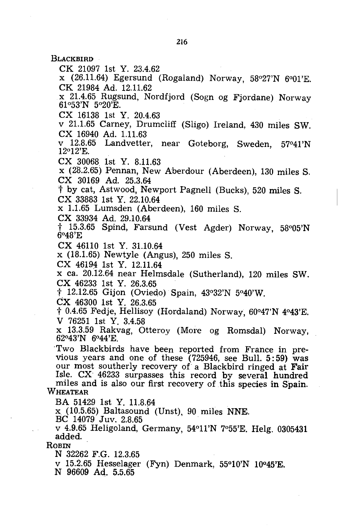**BLACKBIRD** 

CK 21097 1st Y. 23.4.62

x (26.11.64) Egersund (Rogaland) Norway, 58°27'N 6°01'E. CK 21984 Ad. 12.11.62

x 21.4.65 Rugsund, Nordfjord (Sogn og Fjordane) Norway 61°53'N 5°20'E.

CX 16138 1st Y. 20.4.63

v 21.1.65 Carney, Drumcliff (Sligo) Ireland, 430 miles SW. CX 16940 Ad. 1.11.63

v 12.8.65 Landvetter, near Goteborg, Sweden, 57°41'N 12°12'E.

CX 30068 1st Y. 8.11.63

x (28.2.65) Pennan, New Aberdour (Aberdeen), 130 miles S. ex 30169 Ad. 25.3.64

t by cat, Astwood, Newport Pagnell (Bucks), 520 miles S.

CX 33883 1st Y. 22.10.64

x 1.1.65 Lumsden (Aberdeen), 160 miles S.

CX 33934 Ad. 29.10.64

t 15.3.65 Spind, Farsund (Vest Agder) Norway, 58°05'N 6°48'E

CX 46110 1st Y. 31.10.64

x (18.1.65) Newtyle (Angus), 250 miles S.

CX 46194 1st Y. 12.11.64

x ca. 20.12.64 near Helmsdale (Sutherland), 120 miles SW. CX 46233 1st Y. 26.3.65

 $\dagger$  12.12.65 Gijon (Oviedo) Spain, 43°32'N 5°40'W.

ex 46300 1st Y. 26.3.65

 $\dagger$  0.4.65 Fedje, Hellisoy (Hordaland) Norway, 60°47'N 4°43'E. V 76251 1st Y. 3.4.58

x 13.3.59 Rakvag, Otteroy (More og Romsdal) Norway, 62°43'N 6°44'E.

'Two Blackbirds have been reported from France in previous years and one of these  $(725946,$  see Bull. 5:59) was our most southerly recovery of a Blackbird ringed at Fair Isle. CX 46233 surpasses this record by several hundred miles and is also our first recovery of this species in Spain.

WHEATEAR

BA 51429 1st. Y. 11.8.64

x (10.5.65) Baltasound (Unst), 90 miles NNE.

BC 14079 Juv. 2.8.65

v 4.9.65 Heligoland, Germany, 54°11'N 7°55'E. Helg. 0305431 added.

ROBIN

N 32262 F.G. 12.3.65

v 15.2.65 Hesselager (Fyn) Denmark, 55°10'N 10°45'E.

N 96609 Ad. 5.5.65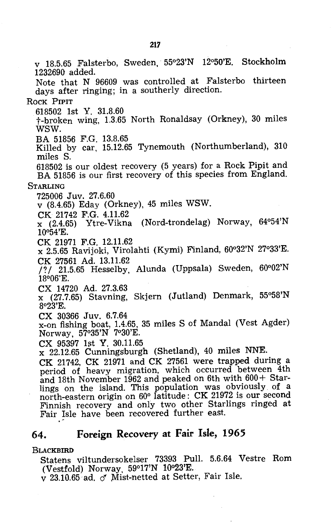v 18.5.65 Falsterbo, Sweden, 55°23'N 12°50'E. Stockholm 1232690 added. Note that N 96609 was controlled at Falsterbo thirteen days after ringing; in a southerly direction. ROCK PIPIT 618502 1st Y. 31.8.60 t-broken wing, 1.3.65 North Ronaldsay (Orkney), 30 miles WSW. BA 51856 F.G. 13.8.65 Killed by car, 15.12.65 Tynemouth (Northumberland), 310 miles S. 618502 is our oldest recovery (5 years) for a Rock Pipit and BA 51856 is our first recovery of this species from England. **STARLING** 725006 Juv. 27.6.60 v (8.4.65) Eday (Orkney), 45 miles WSW. CK 21742 F.G. 4.11.62 x (2.4.65) Ytre-Vikna (Nord-trondelag) Norway, 64°54'N  $10\,54$ 'E. CK 21971 F.G. 12.11.62 x 2.5.65 Ravijoki, Virolahti (Kymi) Finland, 60°32'N 27°33'E. CK 27561 Ad. 13.11.62  $/$ ?/ 21.5.65 Hesselby, Alunda (Uppsala) Sweden,  $60^{\circ}02'N$ 18°06'E. CX 14720 Ad. 27.3.63 x (27.7.65) Stavning, Skjern (Jutland) Denmark, 55°58'N 8°23'E. CX 30366 Juv. 6.7.64 x-on fishing boat, 1.4.65, 35 miles S of Mandal (Vest Agder) Norway, 57°35'N 7°30'E. CX 95397 1st Y. 30.11.65 x 22.12.65 Cunningsburgh (Shetland), 40 miles NNE. CK 21742, CK 21971 and CK 27561 were trapped during a period of heavy migration, which occurred between 4th and 18th November 1962 and peaked on 6th with 600+ Starlings on the island. This population was obviously of a north-eastern origin on 60° latitude: CK 21972 is our second Finnish recovery and only two other Starlings ringed at Fair Isle have been recovered further east.

### **64. Foreign Recovery at Fair Isle, 1965**

#### **BLACKBIRD**

Statens viltundersokelser 73393 Pull. 5.6.64 Vestre Rom (Vestfold) Norway. 59°17'N 10°23'E.

v 23.10.65· ad. *cf* Mist-netted at Setter, Fair Isle.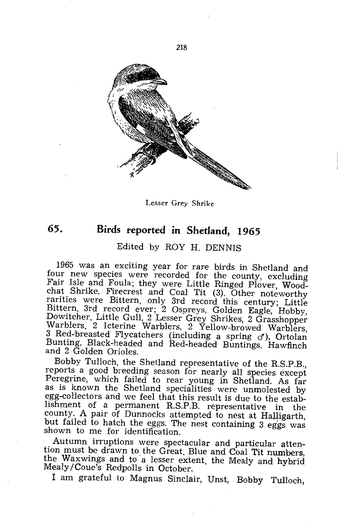

Lesser Grey Shrike

### **65. Birds reported in Shetland, 1965**

### Edited by ROY H. DENNIS

1965 was an exciting year for rare birds in Shetland and four new species were recorded for the county, excluding Fair Isle and Foula; they were Little Ringed Plover, Woodchat Shrike, Firecrest and Coal Tit (3). Other noteworthy rarities were Bittern, only 3rd record this century; Little Bittern, 3rd record ever; 2 Ospreys, Golden Eagle, Hobby, Dowitcher, Little Gull, 2 Lesser Grey Shrikes, 2 Grasshopper Warblers, 2 Icterine Warblers, 2 Yellow-browed Warblers, 3 Red-breasted Flycatchers (including a spring  $\sigma$ ), Ortolan Bunting, Black-headed and Red-headed Buntings, Hawfinch and 2 Golden Orioles.

Bobby Tulloch, the Shetland representative of the R.S.P.B., reports a good breeding season for nearly all species except Peregrine, which failed to rear young in Shetland. As far as is known the Shetland specialities were unmolested by egg-collectors and we feel that this result is due to the establishment of a permanent R.S.P.B. representative in the county. A pair of Dunnocks attempted to nest at Halligarth, but failed to hatch the eggs. The nest containing 3 eggs was shown to me for identification.

Autumn irruptions were spectacular and particular attention must be drawn to the Great, Blue and Coal Tit numbers, the Waxwings and to 'a lesser extent, the Mealy and hybrid Mealy /Coue's Redpolls in October.

I am grateful to Magnus Sinclair, Unst, Bobby Tulloch,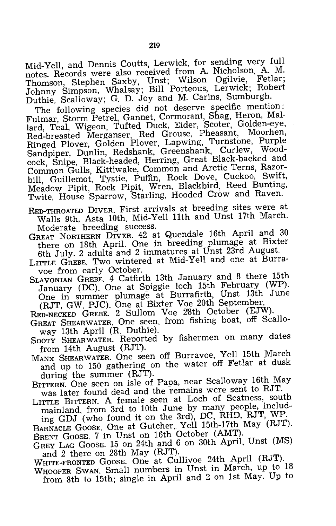Mid-Yell, and Dennis Coutts, Lerwick, for sending very full notes. Records were also received from A. Nicholson, A. M. Thomson, Stephen Saxby, Unst; Wilson Ogilvie, Fetlar; Johnny Simpson, Whalsay; Bill Porteous, Lerwick; Robert Duthie, Scalloway; G. D. Joy and M. Carins, Sumburgh.

The following species did not deserve specific mention: Fulmar, Storm Petrel, Gannet, Cormorant, Shag, Heron, Mallard, Teal, Wigeon, Tufted Duck, Eider, Scoter, Golden-eye, Red-breasted Merganser. Red Grouse. Pheasant, Moorhen, Ringed Plover, Golden Plover, Lapwing, Turnstone, Purple Sandpiper, Dunlin, Redshank, Greenshank, Curlew, Woodcock, Snipe, Black-headed, Herring, Great Black-backed and Common Gulls, Kittiwake, Common and Arctic Terns, Razorbill, Guillemot, Tystie, Puffin, Rock Dove, Cuckoo, Swift, Meadow Pipit, Rock Pipit, Wren, Blackbird, Reed Bunting, Twite, House Sparrow, Starling, Hooded Crow and Raven.

RED-THROATED DIVER. First arrivals at breeding sites were at Walls 9th, Asta 10th. Mid-Yell 11th and Unst 17th March. Moderate breeding success.

GREAT NORTHERN DIVER. 42 at Quendale 16th April and <sup>30</sup> there on 18th April. One in breeding plumage at Bixter 6th July. 2 adults and 2 immatures at Unst 23rd August.

LITTLE GREBE. Two wintered at Mid-Yell and one at Burravoe from early October.

SLAVONIAN GREBE. 4 Catfirth 13th January and 8 there 15th January (DC). One at Spiggie loch 15th February (WP). One in summer plumage at Burrafirth, Unst 13th June (RJT, GW. PJC). One at Bixter Voe 20th September.

RED-NECKED GREBE. 2 Sullom Voe 28th October (EJW).

- GREAT SHEARWATER. One seen. from fishing boat, off Scalloway 13th April (R. Duthie).
- SOOTY SHEARWATER. Reported by fishermen on many dates from 14th August (RJT).
- MANX SHEARWATER. One seen off Burravoe, Yell 15th March and up to 150 gathering on the water off Fetlar at dusk during the summer (RJT).

BITTERN. One seen on isle of Papa, near Scalloway 16th May was later found dead and the remains were sent to RJT.

LITTLE BITTERN. A female seen at Loch of Scatness, south mainland, from 3rd to 10th June by many people, including GDJ (who found it on the 3rd), DC, RHD, RJT, WP.

BARNACLE GOOSE. One at Gutcher, Yell 15th-17th May (RJT). BRENT GOOSE. 7 in Unst on 16th October (AMT).

GREY LAG GOOSE. 15 on 24th and 6 on 30th April, Unst (MS) and 2 there on 28th May (RJT).

WHITE-FRONTED GOOSE. One at Cullivoe 24th April (RJT).

WHOOPER SWAN. Small numbers in Unst in March, up to <sup>18</sup> from 8th to 15th; single in April and 2 on 1st May. Up to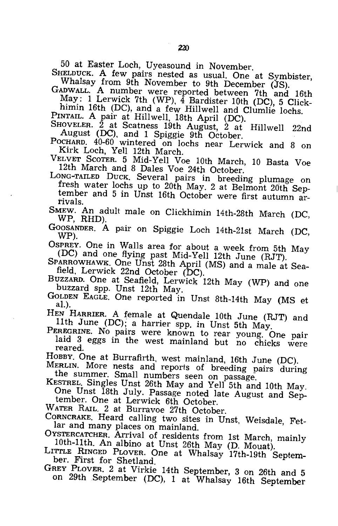50 at Easter Loch, Uyeasound in November.<br>
SHELDUCK. A few pairs nested as usual. One at Symbister,<br>
Whalsay from 9th November to 9th December (JS).<br>
GADWALL. A number were reported between 7th and 16th<br>
May: 1 Lerwick 7th

SHOVELER. 2 at Scatness 19th August, 2 at Hillwell 22nd<br>August (DC), and 1 Spiggie 9th October.<br>POCHARD. 40-60 wintered on lochs near Lerwick and 8 on<br>Kirk Loch, Yell 12th March.<br>VELVET SCOTER. 5 Mid-Yell Voe 10th March, 1

12th March and 8 Dales Voe 24th October.<br>
LONG-TAILED DUCK. Several pairs in breeding plumage on<br>
fresh water lochs up to 20th May. 2 at Belmont 20th Sep-<br>
tember and 5 in Unst 16th October were first autumn ar-<br>
rivals.

SMEW. An adult male on Clickhimin 14th-28th March (DC, WP, RHD).

GOOSANDER. A pair on Spiggie Loch 14th-21st March (DC, WP).<br>
OSPREY. One in Walls area for about a week from 5th May

ODC) and one flying past Mid-Yell 12th June (RJT).<br>SPARROWHAWK. One Unst 28th April (MS) and a male at Sea-<br>field, Lerwick 22nd October (DC).<br>BUZZARD. One at Seafield, Lerwick 12th May (WP) and one

BUZZARD. Spp. Unst 12th May.<br>
GOLDEN EAGLE. One reported in Unst 8th-14th May (MS et al.).<br>
HEN HARRIER. A female at Quendale 10th June (RJT) and

Hen Harrier spp. in Unst 5th May.<br>PEREGRINE. No pairs were known to rear young. One pair<br>laid 3 eggs in the west mainland but no chicks were<br>reared.<br>HOBBY. One at Burrafirth, west mainland, 16th June (DC).

MERLIN. More nests and reports of breeding pairs during<br>the summer. Small numbers seen on passage.<br>KESTREL Singles Unst 26th May and Yell 5th and 10th May.<br>One Unst 18th July. Passage noted late August and Sep-<br>tember. One

GREY PLOVER. 2 at Virkie 14th September, 3 on 26th and <sup>5</sup> on 29th September (DC), 1 at Whalsay 16th September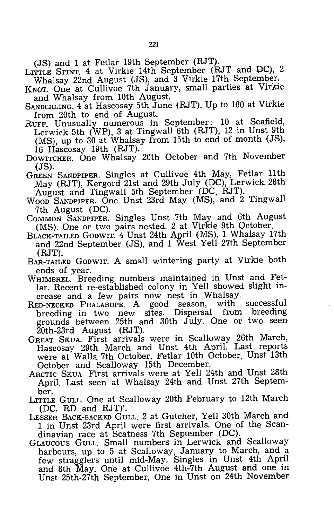(JS) and 1 at Fetlar 19th September (RJT).

- LITTLE STINT. 4 at Virkie 14th September (RJT and DC), 2 Whalsay 22nd August (JS), and 3 Virkie 17th September.
- KNOT. One at Cullivoe 7th January, small parties at Virkie and Whalsay from 10th August.
- SANDERLING. 4 at Hascosay 5th June (RJT). Up to 100 at Virkie from 20th to end of August.
- RUFF. Unusually numerous in September: 10 at Seafield, Lerwick 5th (WP), 3 at Tingwall 6th (RJT), 12 in Unst 9th (MS), up to 30 at Whalsay from 15th to end of month (JS), 16 Hascosay 19th (RJT).
- DOWITCHER. One Whalsay 20th October and 7th November (JS).
- GREEN SANDPIPER. Singles at Cullivoe 4th May, Fetlar 11th ,May (RJT), Kergord 21st and 29th July (DC), Lerwick 28th August and Tingwall 5th September (DC, RJT).
- WOOD SANDPIPER. One Unst 23rd May (MS), and 2 Tingwall 7th August (DC).
- COMMON SANDPIPER. Singles Unst 7th May and 6th August (MS). One or two pairs nested. 2 at Virkie 9th October.
- BLACK-TAILED GoDWIT. 4 Unst 24th April (MS), 1 Whalsay 17th and 22nd September (JS), and 1 West Yell 27th September (RJT).
- BAR-TAILED GODWIT. A small wintering party at Virkie both ends of year.
- WHIMBREL. Breeding numbers maintained in Unst and Fetlar. Recent re-established colony in Yell showed slight increase and a few pairs now nest in Whalsay.
- RED-NECKED PHALAROPE. A good season, with successful breeding in two new sites. Dispersal grounds between 25th and 30th July. One or two seen 20th-23rd August (RJT).
- GREAT SKUA. First arrivals were in Scalloway 26th March, Hascosay 29th March and Unst 4th April. Last reports were at Walls. 7th October, Fetlar 10th October, Unst 13th October and Scalloway 15th December.
- ARCTIC SKUA. First arrivals were at Yell 24th and Unst 28th April. Last seen at Whalsay 24th and Unst 27th September.
- LITTLE GULL. One at Scalloway 20th February to 12th March (DC, RD and RJT)'.
- LESSER BACK-BACKED GULL. 2 at Gutcher, Yell 30th March and 1 in Unst 23rd April were first arrivals. One of the Scandinavian race at Scatness 7th September (DC).
- GLAUCOUS GULL. Small numbers in Lerwick and Scalloway harbours, up to 5 at Scalloway, January to March, and a few stragglers until mid-May. Singles in Uhst 4th April and 8th May. One at Cullivoe 4th-7th August and one in Unst 25th-27th September. One in Unst on 24th November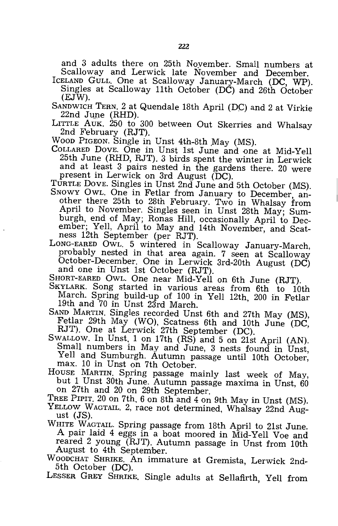and 3 adults there on 25th November. Small numbers at Scalloway and Lerwick late November and December.

- IcELAND GULL. One at Scalloway January-March (DC, WP). Singles at Scalloway 11th October (DC) and 26th October (EJW).
- SANDWICH TERN. 2 at Quendale 18th April (DC) and 2 at Virkie 22nd June (RHD).
- LITTLE AUK. 250 to 300 between Out Skerries and Whalsay 2nd February (RJT).
- WOOD PIGEON. Single in Unst 4th-8th May (MS).
- COLLARED DOVE. One in Unst 1st June and one at Mid-Yell 25th June (RHD, RJT). 3 birds spent the winter in Lerwick and at least 3 pairs nested in the gardens there. 20 were present in Lerwick on 3rd August (DC).
- TURTLE DOVE. Singles in Unst 2nd June and 5th October (MS). SNOWY OWL. One in Fetlar from January to December, another there 25th to 28th February. Two in Whalsay from April to November. Singles seen in Unst 28th May; Sumburgh, end of May; Ronas Hill, occasionally April to December; Yell, April to May and 14th November, and Scatne ss 12th September (per RJT).
- LONG-EARED OWL. 5 wintered in Scalloway January-March, probably nested in that area again. 7 seen at Scalloway October-December. One in Lerwick 3rd-20th August (DC) and one in Unst 1st October (RJT).

SHORT-EARED OWL. One near Mid-Yell on 6th June (RJT).

- SKYLARK. Song started in various areas from 6th to 10th March. Spring build-up of 100 in Yell 12th, 200 in Fetlar 19th and 70 in Unst 23rd March.
- SAND MARTIN. Singles recorded Unst 6th and 27th May (MS), Fetlar 29th May (WO), Scatness 6th and 10th June (DC, RJT). One at Lerwick 27th September (DC).
- SWALLOW. In Unst, 1 on 17th (RS) and 5 on 21st April (AN). Small numbers in May and June, 3 nests found in Unst, Yell and Sumburgh. Autumn passage until 10th October, max. 10 in Unst on 7th October.
- HOUSE MARTIN. Spring passage mainly last week of May, but 1 Unst 30th June. Autumn passage maxima in Unst, 60 on 27th and 20 on 29th September.
- TREE PIPIT. 20 on 7th, 6 on 8th and 4 on 9th May in Unst (MS). YELLOW WAGTAIL. 2, race not determined, Whalsay 22nd August (JS).
- WHITE WAGTAIL. Spring passage from 18th April to 21st June. A pair laid 4 eggs in a boat moored in Mid-Yell Voe and reared 2 young (RJT). Autumn passage in Unst from 10th August to 4th September.
- WOODCHAT SHRIKE. An immature at Gremista, Lerwick 2nd-5th October (DC).

LESSER GREY SHRIKE. Single adults at Sellafirth, Yell from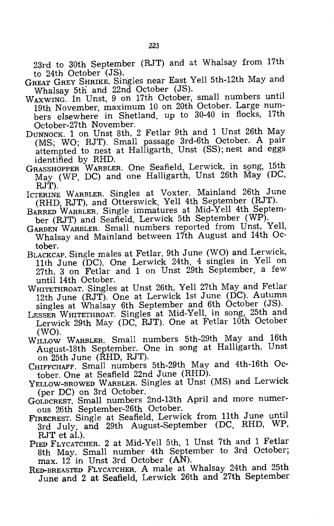23rd to 30th September (RJT) and at Whalsay from 17th to 24th October (JS).

- GREAT GREY SHRIKE. Singles near East Yell 5th-12th May and Whalsay 5th and 22nd October (JS).
- WAXWING. In Unst, 9 on 17th October, small numbers until 19th November, maximum 10 on 20th October. Large numbers elsewhere in Shetland, up to 30-40 in flocks, 17th October-27th November.
- DUNNOCK. 1 on Unst 8th, 2 Fetlar 9th and 1 Unst 26th May (MS; WO; RJT). Small passage 3rd-6th October. A pair attempted to nest at Halligarth, Unst (SS); nest and eggs identified by RHD.
- GRASSHOPPER WARBLER. One Seafield, Lerwick, in sgng, 15th May (WP, DC) and one Halligarth, Unst 26th May (DC, RJT).
- ICTERINE WARBLER. Singles at Voxter, Mainland 26th June (RHD, RJT), and Otterswick, Yell 4th September (RJT).
- BARRED WARBLER. Single immatures at Mid-Yell 4th September (RJT) and Seafield, Lerwick 5th September (WP).
- GARDEN WARBLER. Small numbers reported from Unst, Yell, Whalsay and Mainland between 17th August and 14th October.
- BLACKCAP. Single males at Fetlar, 9th June (WO) and Lerwick, 11th June (DC). One Lerwick 24th, 4 singles in Yell on 27th, 3 on Fetlar and 1 on Unst 29th September, a few until 14th October.
- WHITETHROAT. Singles at Unst 26th, Yell 27th May and Fetlar 12th June (RJT). One at Lerwick 1st June (DC). Autumn singles at Whalsay 6th September and 6th October (JS).
- LESSER WHITETHROAT. Singles at Mid-Yell, in song, 25th and Lerwick 29th May (DC, RJT). One at Fetlar 10th October (WO).
- WILLOW WARBLER. Small numbers 5th-29th May and 16th August-18th September. One in song at Halligarth, Unst on 25th June (RHD, RJT).
- CHIFFCHAFF. Small numbers 5th-29th May and 4th-16th October. One at Seafield 22nd June (RHD).
- YELLOW-BROWED WARBLER. Singles at Unst (MS) and Lerwick (per DC) on 3rd October.
- GOLDCREST. Small numbers 2nd-13th April and more numerous 26th September-26th October.
- FIRECREST. Single at Seafield, Lerwick from 11th June until 3rd July, and 29th August-September (DC, RHD, WP, RJT et al.).
- PIED FLYCATCHER. 2 at Mid-Yell 5th, 1 Unst 7th and 1 Fetlar 8th May. Small number 4th September to 3rd October; max. 12 in Unst 3rd October (AN).
- RED-BREASTED FLYCATCHER. A male at Whalsay 24th and 25th June and 2 at Seafield, Lerwick 26th and 27th September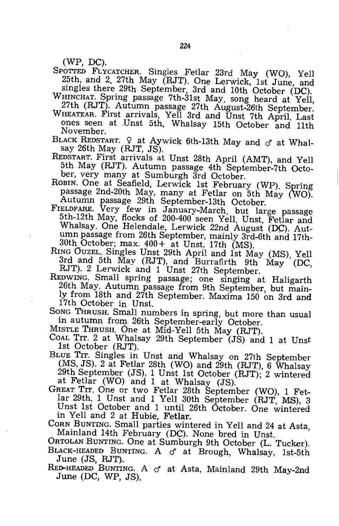(WP, DC).

SPOTTED FLYCATCHER. Singles Fetlar 23rd May (WO), Yell 25th, and 2, 27th May (RJT). One Lerwick, 1st June, and singles there 29th September, 3rd and 10th October (DC).

WHINCHAT. Spring passage 7th-31st May, song heard at Yell, 27th (RJT). Autumn passage 27th August-26th September.

WHEATEAR. First arrivals, Yell 3rd and Unst 7th April. Last ones seen at .Dnst 5th, Whalsay 15th October and 11th November.

BLACK REDSTART.  $9$  at Aywick 6th-13th May and  $\sigma$  at Whalsay 26th May (RJT, JS).

REDSTART. First arrivals at Unst 28th April (AMT), and Yell 5th May (RJT). Autumn passage 4th September-7th October, very many at Sumburgh 3rd October.

ROBIN. One at Seafield, Lerwick 1st February (WP). Spring passage 2nd-20th May, many at Fetlar on 5th May (WO). Autumn passage 29th September-13th October.

FIELDFARE. Very few in January-March, but large passage 5th-12th May, flocks of 200-400 seen Yell, Unst, Fetlar and Whalsay. One Helendale, Lerwick 22nd August (DC). Autumn passage from 26th September, mainly 3rd-6th and 17th-30th October; max. 400+ at Unst, 17th (MS).

RING OUZEL. Singles Unst 29th April and 1st May (MS), Yell 3rd and 5th May (RJT), and Burrafirth 9th May (DC, RJT). 2 Lerwick and 1 Unst 27th September.

REDWING. Small spring passage; one singing at Haligarth 26th May. Autumn passage from 9th September, but mainly from 18th and 27th September. Maxima 150 on 3rd and 17th October in Unst.

SONG THRUSH. Small numbers in spring, but more than usual in autumn from 26th September-early October.

MISTLE THRUSH. One at Mid-Yell 5th May (RJT).

COAL TIT. 2 at Whalsay 29th September (JS) and 1 at Unst 1st October (RJT).

- BLUE TIT. Singles in Unst and Whalsay on 27th September (MS, JS). 2 at Fetlar 28th (WO) and 29th (RJT), 6 Whalsay 29th September (JS), 1 Unst 1st October (RJT); 2 wintered at Fetlar (WO) and 1 at Whalsay (JS).
- GREAT TIT. One or two Fetlar 28th September (WO), 1 Fetlar 29th, 1 Unst and 1 Yell 30th September (RJT, MS), 3 Unst 1st October and 1 until 26th October. One wintered in Yell and 2 at Hubie, Fetlar.

CORN BUNTING. Small parties wintered in Yell and 24 at Asta, Mainland 14th February (DC). None bred in Unst.

ORTOLAN BUNTING. One at Sumburgh 9th October (L. Tucker). BLACK-HEADED BUNTING. A o at Brough, Whalsay, 1st-5th

June (JS, RJT). RED-HEADED BUNTING. A  $\sigma$  at Asta, Mainland 29th May-2nd

June (DC, WP, JS).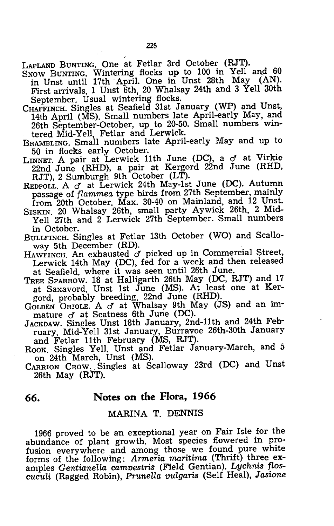LAPLAND BUNTING. One at Fetlar 3rd October (RJT).

- $S<sub>NOW</sub>$  BUNTING. Wintering flocks up to 100 in Yell and  $60$ n Unst until 17th April. One in Unst 28th May (AN). First arrivals, 1 Unst 6th, 20 Whalsay 24th and 3 Yell 30th September. Usual wintering flocks.
- CHAFFINCH. Singles at Seafield 31st January (WP) and Unst. 14th April (MS). Small numbers late April-early May, and 26th September-October, up to 20-50. Small numbers wintered Mid-Yell, Fetlar and Lerwick.
- BRAMBLING. Small numbers late April-early May and up to 50 in flocks early October.
- LINNET. A pair at Lerwick 11th June (DC), a  $\sigma$  at Virkie 22nd June (RHD), a pair at Kergord 22nd June (RHD,  $RJT$ ), 2 Sumburgh 9th October (LT).
- REDPOLL. A  $\sigma$  at Lerwick 24th May-1st June (DC). Autumn passage of *flammea* type birds from 27th September, mainly from 20th October. Max. 30-40 on Mainland, and 12 Unst.
- SISKIN. 20 Whalsay 26th, small party Aywick 26th, 2 Mid-Yell 27th and 2 Lerwick 27th September. Small numbers in October.
- BULLFINCH. Singles at Fetlar 13th October (WO) and Scalloway 5th December (RD).
- HAWFINCH. An exhausted  $\sigma$  picked up in Commercial Street, Lerwick 14th May (DC), fed for a week and then released at Seafield, where it was seen until 26th June.
- TREE SPARROW. 18 at Halligarth 26th May (DC, RJT) and 17 at Saxavord, Unst 1st June (MS). At least one at Kergord, probably breeding, 22nd June (RHD).
- GoLDEN ORIOLE. A *cf* at Whalsay 9th May (JS) and an immature  $\sigma$  at Scatness 6th June (DC).
- JACKDAW. Singles Unst 18th January, 2nd-11th and 24th February, Mid-Yell 31st January, Burravoe 26th-30th January and Fetlar 11th February (MS, RJT).
- ROOK. Singles Yell, Unst and Fetlar January-March, and 5 on 24th March, Unst (MS).
- CARRION CROW. Singles at Scalloway 23rd (DC) and Unst  $26th$  May  $(RJT)$ .

### **66. Notes on the Flora, 1966**

#### MARINA T. DENNIS

1966 proved to be an exceptional year on Fair Isle for the abundance of plant growth. Most species flowered in profusion everywhere and among those we found pure white forms of the following: *Armeria maritima* (Thrift) three examples *Gentianella camnestris* (Field Gentian), *Lychnis floscuculi* (Ragged Robin), *PruneUa vulgaris* (Self Heal), *Jasione*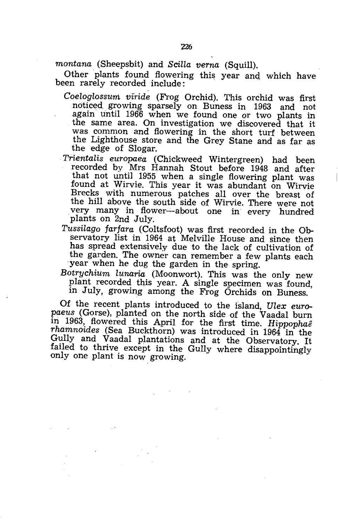*montana* (Sheepsbit) and *Scilla verna* (Squill).

Other plants found flowering this year and which have been rarely recorded include:

- Coeloglossum viride (Frog Orchid). This orchid was first noticed. growing sparsely on Buness in 1963 and not again until 1966 when we found one or two plants in the same area. On investigation we discovered that it was common and flowering in the short turf between the Lighthouse store and the Grey Stane and as far as the edge of Slogar.
- *Trientalis europaea* (Chickweed Wintergreen) had been recorded by Mrs Hannah Stout before 1948 and after that not until 1955 when a single flowering plant was found at Wirvie. This year it was abundant on Wirvie Brecks with numerous patches all over the breast of the hill above the south side of Wirvie. There were not very many in flower-about one in every hundred plants on 2nd July.
- *Tussilago farfara* (Coltsfoot) was first recorded in the Observatory list in 1964 at Melville House and since then has spread extensively due to the lack of cultivation of the garden. The owner can remember a few plants each year when he dug the garden in the spring.

*Botrychium lunaria* (Moonwort). This was the only new plant recorded this year. A single specimen was found, in July, growing among the Frog Orchids on Buness.

Of the recent plants introduced to the island, *Ulex europaeus* (Gorse), planted on the north side of the Vaadal burn in 1963, flowered this April for the first time. *Hippophae rhamnoides* (Sea Buckthorn) was introduced in 1964 in the Gully and Vaadal plantations and at the Observatory. It failed to thrive except in the Gully where disappointingly only *one* plant is now growing.